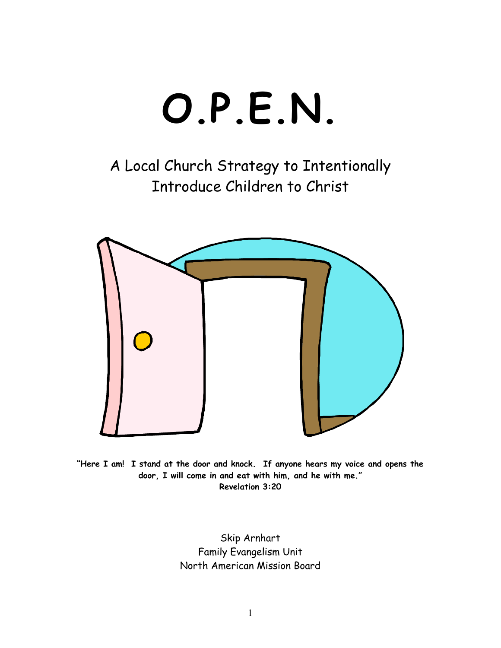

A Local Church Strategy to Intentionally Introduce Children to Christ



**"Here I am! I stand at the door and knock. If anyone hears my voice and opens the door, I will come in and eat with him, and he with me." Revelation 3:20** 

> Skip Arnhart Family Evangelism Unit North American Mission Board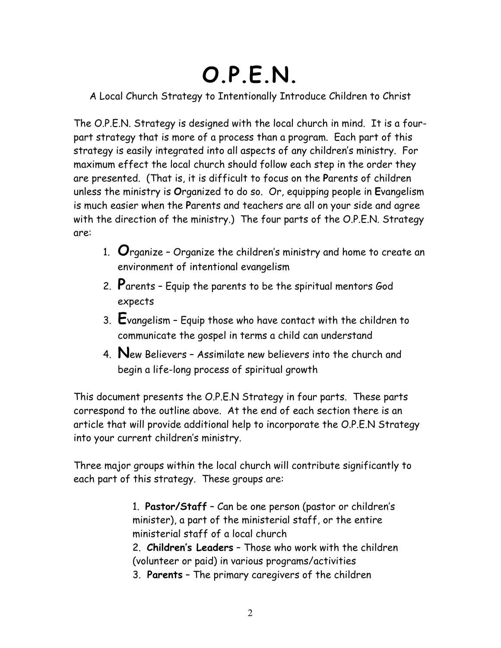# **O.P.E.N.**

A Local Church Strategy to Intentionally Introduce Children to Christ

The O.P.E.N. Strategy is designed with the local church in mind. It is a fourpart strategy that is more of a process than a program. Each part of this strategy is easily integrated into all aspects of any children's ministry. For maximum effect the local church should follow each step in the order they are presented. (That is, it is difficult to focus on the **P**arents of children unless the ministry is **O**rganized to do so. Or, equipping people in **E**vangelism is much easier when the **P**arents and teachers are all on your side and agree with the direction of the ministry.) The four parts of the O.P.E.N. Strategy are:

- 1. **O**rganize Organize the children's ministry and home to create an environment of intentional evangelism
- 2. **P**arents Equip the parents to be the spiritual mentors God expects
- 3. **E**vangelism Equip those who have contact with the children to communicate the gospel in terms a child can understand
- 4. **N**ew Believers Assimilate new believers into the church and begin a life-long process of spiritual growth

This document presents the O.P.E.N Strategy in four parts. These parts correspond to the outline above. At the end of each section there is an article that will provide additional help to incorporate the O.P.E.N Strategy into your current children's ministry.

Three major groups within the local church will contribute significantly to each part of this strategy. These groups are:

> 1. **Pastor/Staff** – Can be one person (pastor or children's minister), a part of the ministerial staff, or the entire ministerial staff of a local church

- 2. **Children's Leaders** Those who work with the children (volunteer or paid) in various programs/activities
- 3. **Parents** The primary caregivers of the children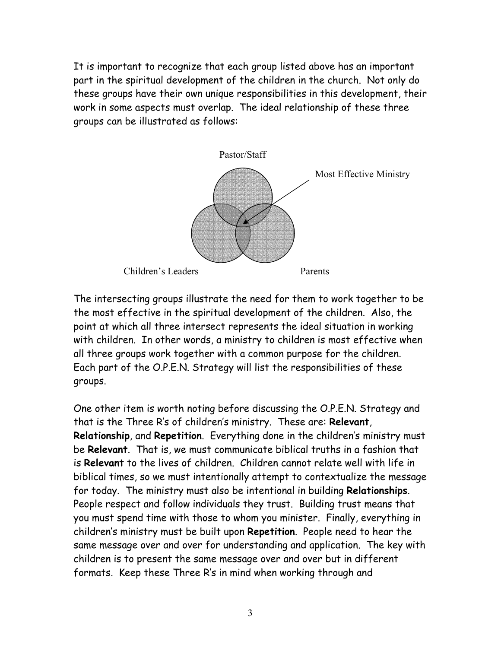It is important to recognize that each group listed above has an important part in the spiritual development of the children in the church. Not only do these groups have their own unique responsibilities in this development, their work in some aspects must overlap. The ideal relationship of these three groups can be illustrated as follows:



The intersecting groups illustrate the need for them to work together to be the most effective in the spiritual development of the children. Also, the point at which all three intersect represents the ideal situation in working with children. In other words, a ministry to children is most effective when all three groups work together with a common purpose for the children. Each part of the O.P.E.N. Strategy will list the responsibilities of these groups.

One other item is worth noting before discussing the O.P.E.N. Strategy and that is the Three R's of children's ministry. These are: **Relevant**, **Relationship**, and **Repetition**. Everything done in the children's ministry must be **Relevant**. That is, we must communicate biblical truths in a fashion that is **Relevant** to the lives of children. Children cannot relate well with life in biblical times, so we must intentionally attempt to contextualize the message for today. The ministry must also be intentional in building **Relationships**. People respect and follow individuals they trust. Building trust means that you must spend time with those to whom you minister. Finally, everything in children's ministry must be built upon **Repetition**. People need to hear the same message over and over for understanding and application. The key with children is to present the same message over and over but in different formats. Keep these Three R's in mind when working through and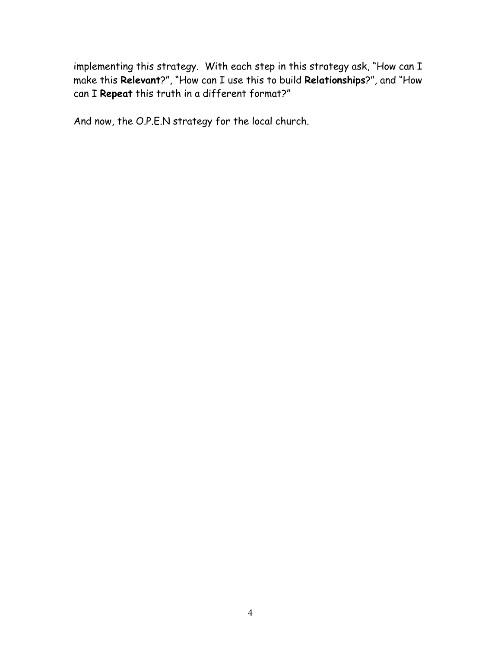implementing this strategy. With each step in this strategy ask, "How can I make this **Relevant**?", "How can I use this to build **Relationships**?", and "How can I **Repeat** this truth in a different format?"

And now, the O.P.E.N strategy for the local church.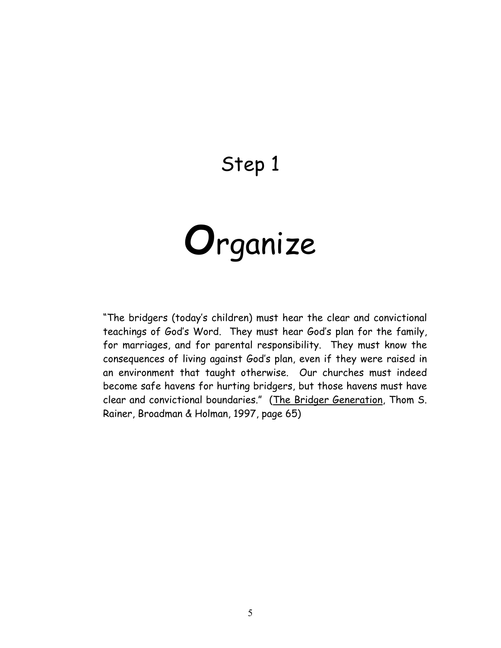## Step 1



"The bridgers (today's children) must hear the clear and convictional teachings of God's Word. They must hear God's plan for the family, for marriages, and for parental responsibility. They must know the consequences of living against God's plan, even if they were raised in an environment that taught otherwise. Our churches must indeed become safe havens for hurting bridgers, but those havens must have clear and convictional boundaries." (The Bridger Generation, Thom S. Rainer, Broadman & Holman, 1997, page 65)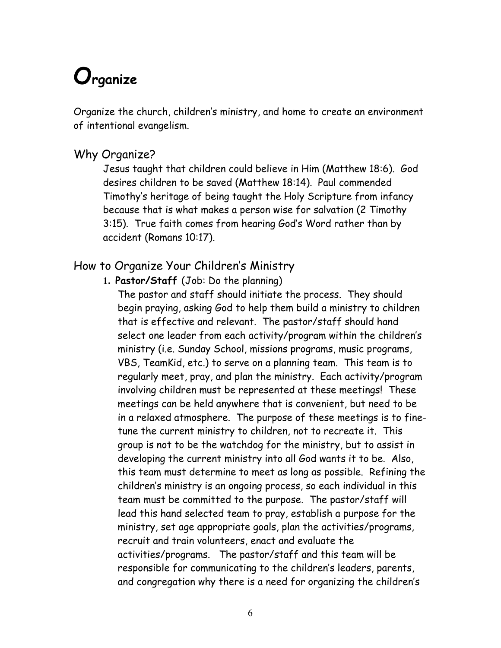# **Organize**

Organize the church, children's ministry, and home to create an environment of intentional evangelism.

#### Why Organize?

Jesus taught that children could believe in Him (Matthew 18:6). God desires children to be saved (Matthew 18:14). Paul commended Timothy's heritage of being taught the Holy Scripture from infancy because that is what makes a person wise for salvation (2 Timothy 3:15). True faith comes from hearing God's Word rather than by accident (Romans 10:17).

#### How to Organize Your Children's Ministry

**1. Pastor/Staff** (Job: Do the planning)

The pastor and staff should initiate the process. They should begin praying, asking God to help them build a ministry to children that is effective and relevant. The pastor/staff should hand select one leader from each activity/program within the children's ministry (i.e. Sunday School, missions programs, music programs, VBS, TeamKid, etc.) to serve on a planning team. This team is to regularly meet, pray, and plan the ministry. Each activity/program involving children must be represented at these meetings! These meetings can be held anywhere that is convenient, but need to be in a relaxed atmosphere. The purpose of these meetings is to finetune the current ministry to children, not to recreate it. This group is not to be the watchdog for the ministry, but to assist in developing the current ministry into all God wants it to be. Also, this team must determine to meet as long as possible. Refining the children's ministry is an ongoing process, so each individual in this team must be committed to the purpose. The pastor/staff will lead this hand selected team to pray, establish a purpose for the ministry, set age appropriate goals, plan the activities/programs, recruit and train volunteers, enact and evaluate the activities/programs. The pastor/staff and this team will be responsible for communicating to the children's leaders, parents, and congregation why there is a need for organizing the children's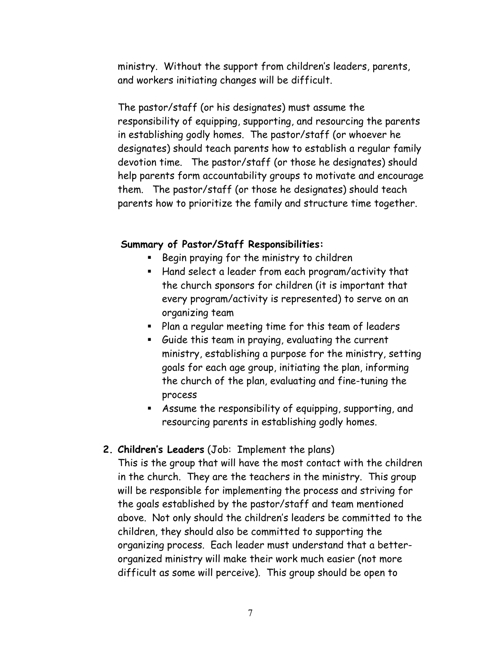ministry. Without the support from children's leaders, parents, and workers initiating changes will be difficult.

The pastor/staff (or his designates) must assume the responsibility of equipping, supporting, and resourcing the parents in establishing godly homes. The pastor/staff (or whoever he designates) should teach parents how to establish a regular family devotion time. The pastor/staff (or those he designates) should help parents form accountability groups to motivate and encourage them. The pastor/staff (or those he designates) should teach parents how to prioritize the family and structure time together.

#### **Summary of Pastor/Staff Responsibilities:**

- **Begin praying for the ministry to children**
- Hand select a leader from each program/activity that the church sponsors for children (it is important that every program/activity is represented) to serve on an organizing team
- Plan a regular meeting time for this team of leaders
- Guide this team in praying, evaluating the current ministry, establishing a purpose for the ministry, setting goals for each age group, initiating the plan, informing the church of the plan, evaluating and fine-tuning the process
- Assume the responsibility of equipping, supporting, and resourcing parents in establishing godly homes.

#### **2. Children's Leaders** (Job: Implement the plans)

This is the group that will have the most contact with the children in the church. They are the teachers in the ministry. This group will be responsible for implementing the process and striving for the goals established by the pastor/staff and team mentioned above. Not only should the children's leaders be committed to the children, they should also be committed to supporting the organizing process. Each leader must understand that a betterorganized ministry will make their work much easier (not more difficult as some will perceive). This group should be open to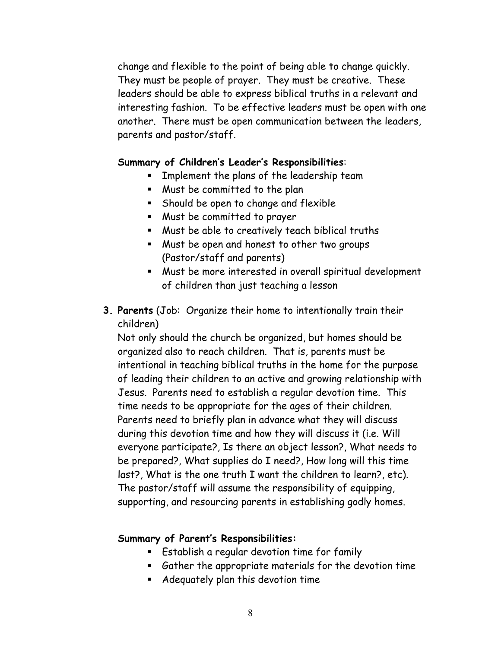change and flexible to the point of being able to change quickly. They must be people of prayer. They must be creative. These leaders should be able to express biblical truths in a relevant and interesting fashion. To be effective leaders must be open with one another. There must be open communication between the leaders, parents and pastor/staff.

#### **Summary of Children's Leader's Responsibilities**:

- **EXED** Implement the plans of the leadership team
- Must be committed to the plan
- **Should be open to change and flexible**
- Must be committed to prayer
- Must be able to creatively teach biblical truths
- Must be open and honest to other two groups (Pastor/staff and parents)
- Must be more interested in overall spiritual development of children than just teaching a lesson
- **3. Parents** (Job: Organize their home to intentionally train their children)

Not only should the church be organized, but homes should be organized also to reach children. That is, parents must be intentional in teaching biblical truths in the home for the purpose of leading their children to an active and growing relationship with Jesus. Parents need to establish a regular devotion time. This time needs to be appropriate for the ages of their children. Parents need to briefly plan in advance what they will discuss during this devotion time and how they will discuss it (i.e. Will everyone participate?, Is there an object lesson?, What needs to be prepared?, What supplies do I need?, How long will this time last?, What is the one truth I want the children to learn?, etc). The pastor/staff will assume the responsibility of equipping, supporting, and resourcing parents in establishing godly homes.

#### **Summary of Parent's Responsibilities:**

- Establish a regular devotion time for family
- Gather the appropriate materials for the devotion time
- Adequately plan this devotion time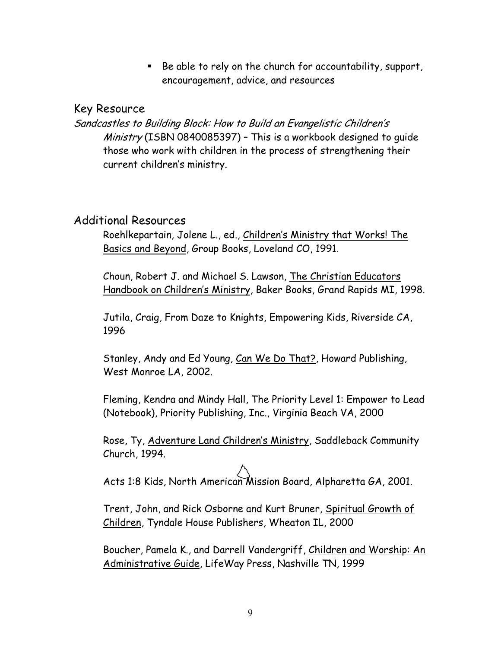$\blacksquare$  Be able to rely on the church for accountability, support, encouragement, advice, and resources

#### Key Resource

Sandcastles to Building Block: How to Build an Evangelistic Children's Ministry (ISBN 0840085397) - This is a workbook designed to quide those who work with children in the process of strengthening their current children's ministry.

#### Additional Resources

Roehlkepartain, Jolene L., ed., Children's Ministry that Works! The Basics and Beyond, Group Books, Loveland CO, 1991.

Choun, Robert J. and Michael S. Lawson, The Christian Educators Handbook on Children's Ministry, Baker Books, Grand Rapids MI, 1998.

Jutila, Craig, From Daze to Knights, Empowering Kids, Riverside CA, 1996

Stanley, Andy and Ed Young, Can We Do That?, Howard Publishing, West Monroe LA, 2002.

Fleming, Kendra and Mindy Hall, The Priority Level 1: Empower to Lead (Notebook), Priority Publishing, Inc., Virginia Beach VA, 2000

Rose, Ty, Adventure Land Children's Ministry, Saddleback Community Church, 1994.

Acts 1:8 Kids, North American Mission Board, Alpharetta GA, 2001.

Trent, John, and Rick Osborne and Kurt Bruner, Spiritual Growth of Children, Tyndale House Publishers, Wheaton IL, 2000

Boucher, Pamela K., and Darrell Vandergriff, Children and Worship: An Administrative Guide, LifeWay Press, Nashville TN, 1999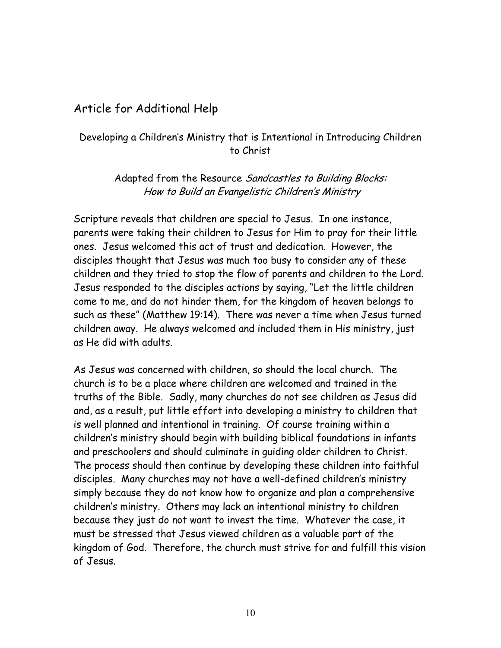#### Article for Additional Help

#### Developing a Children's Ministry that is Intentional in Introducing Children to Christ

Adapted from the Resource Sandcastles to Building Blocks: How to Build an Evangelistic Children's Ministry

Scripture reveals that children are special to Jesus. In one instance, parents were taking their children to Jesus for Him to pray for their little ones. Jesus welcomed this act of trust and dedication. However, the disciples thought that Jesus was much too busy to consider any of these children and they tried to stop the flow of parents and children to the Lord. Jesus responded to the disciples actions by saying, "Let the little children come to me, and do not hinder them, for the kingdom of heaven belongs to such as these" (Matthew 19:14). There was never a time when Jesus turned children away. He always welcomed and included them in His ministry, just as He did with adults.

As Jesus was concerned with children, so should the local church. The church is to be a place where children are welcomed and trained in the truths of the Bible. Sadly, many churches do not see children as Jesus did and, as a result, put little effort into developing a ministry to children that is well planned and intentional in training. Of course training within a children's ministry should begin with building biblical foundations in infants and preschoolers and should culminate in guiding older children to Christ. The process should then continue by developing these children into faithful disciples. Many churches may not have a well-defined children's ministry simply because they do not know how to organize and plan a comprehensive children's ministry. Others may lack an intentional ministry to children because they just do not want to invest the time. Whatever the case, it must be stressed that Jesus viewed children as a valuable part of the kingdom of God. Therefore, the church must strive for and fulfill this vision of Jesus.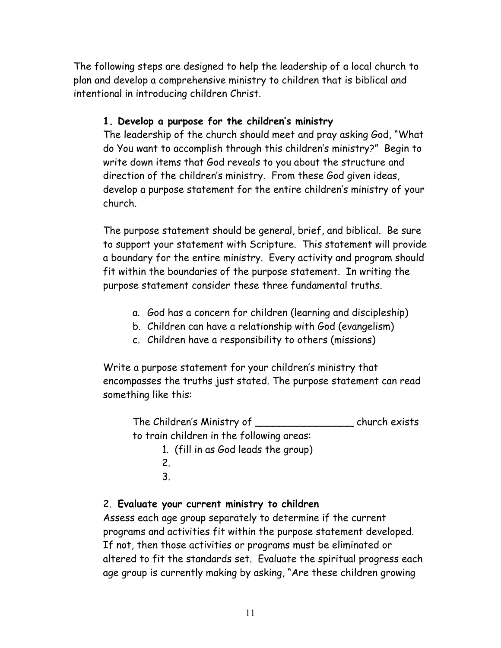The following steps are designed to help the leadership of a local church to plan and develop a comprehensive ministry to children that is biblical and intentional in introducing children Christ.

#### **1. Develop a purpose for the children's ministry**

The leadership of the church should meet and pray asking God, "What do You want to accomplish through this children's ministry?" Begin to write down items that God reveals to you about the structure and direction of the children's ministry. From these God given ideas, develop a purpose statement for the entire children's ministry of your church.

The purpose statement should be general, brief, and biblical. Be sure to support your statement with Scripture. This statement will provide a boundary for the entire ministry. Every activity and program should fit within the boundaries of the purpose statement. In writing the purpose statement consider these three fundamental truths.

- a. God has a concern for children (learning and discipleship)
- b. Children can have a relationship with God (evangelism)
- c. Children have a responsibility to others (missions)

Write a purpose statement for your children's ministry that encompasses the truths just stated. The purpose statement can read something like this:

The Children's Ministry of \_\_\_\_\_\_\_\_\_\_\_\_\_\_\_\_ church exists to train children in the following areas:

1. (fill in as God leads the group) 2. 3.

#### 2. **Evaluate your current ministry to children**

Assess each age group separately to determine if the current programs and activities fit within the purpose statement developed. If not, then those activities or programs must be eliminated or altered to fit the standards set. Evaluate the spiritual progress each age group is currently making by asking, "Are these children growing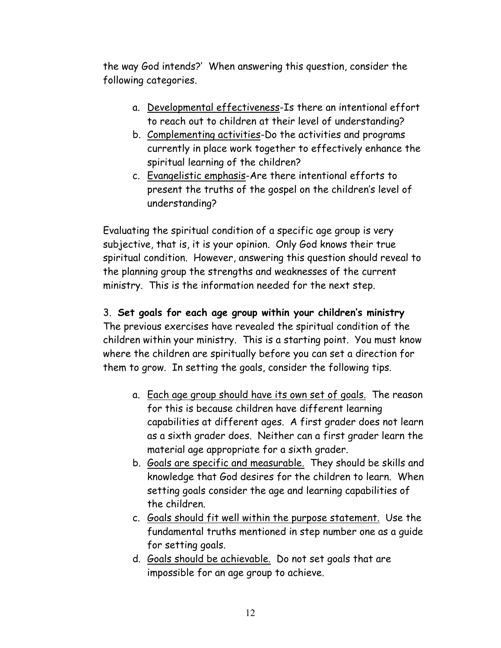the way God intends?' When answering this question, consider the following categories.

- a. Developmental effectiveness-Is there an intentional effort to reach out to children at their level of understanding?
- b. Complementing activities-Do the activities and programs currently in place work together to effectively enhance the spiritual learning of the children?
- c. Evangelistic emphasis-Are there intentional efforts to present the truths of the gospel on the children's level of understanding?

Evaluating the spiritual condition of a specific age group is very subjective, that is, it is your opinion. Only God knows their true spiritual condition. However, answering this question should reveal to the planning group the strengths and weaknesses of the current ministry. This is the information needed for the next step.

#### 3. **Set goals for each age group within your children's ministry**

The previous exercises have revealed the spiritual condition of the children within your ministry. This is a starting point. You must know where the children are spiritually before you can set a direction for them to grow. In setting the goals, consider the following tips.

- a. Each age group should have its own set of goals. The reason for this is because children have different learning capabilities at different ages. A first grader does not learn as a sixth grader does. Neither can a first grader learn the material age appropriate for a sixth grader.
- b. Goals are specific and measurable. They should be skills and knowledge that God desires for the children to learn. When setting goals consider the age and learning capabilities of the children.
- c. Goals should fit well within the purpose statement. Use the fundamental truths mentioned in step number one as a guide for setting goals.
- d. Goals should be achievable. Do not set goals that are impossible for an age group to achieve.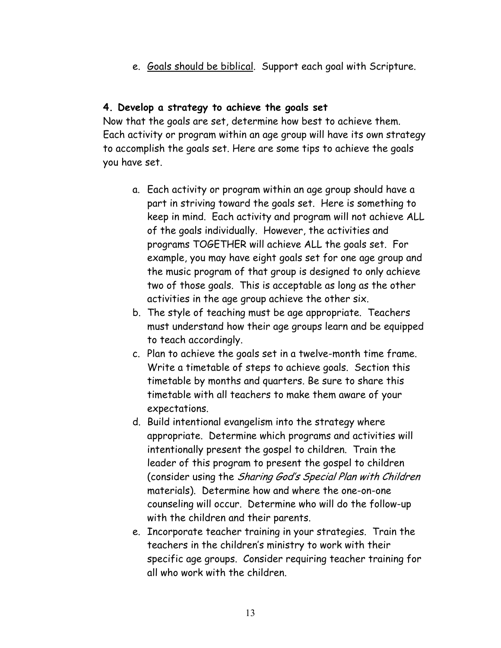e. Goals should be biblical. Support each goal with Scripture.

#### **4. Develop a strategy to achieve the goals set**

Now that the goals are set, determine how best to achieve them. Each activity or program within an age group will have its own strategy to accomplish the goals set. Here are some tips to achieve the goals you have set.

- a. Each activity or program within an age group should have a part in striving toward the goals set. Here is something to keep in mind. Each activity and program will not achieve ALL of the goals individually. However, the activities and programs TOGETHER will achieve ALL the goals set. For example, you may have eight goals set for one age group and the music program of that group is designed to only achieve two of those goals. This is acceptable as long as the other activities in the age group achieve the other six.
- b. The style of teaching must be age appropriate. Teachers must understand how their age groups learn and be equipped to teach accordingly.
- c. Plan to achieve the goals set in a twelve-month time frame. Write a timetable of steps to achieve goals. Section this timetable by months and quarters. Be sure to share this timetable with all teachers to make them aware of your expectations.
- d. Build intentional evangelism into the strategy where appropriate. Determine which programs and activities will intentionally present the gospel to children. Train the leader of this program to present the gospel to children (consider using the Sharing God's Special Plan with Children materials). Determine how and where the one-on-one counseling will occur. Determine who will do the follow-up with the children and their parents.
- e. Incorporate teacher training in your strategies. Train the teachers in the children's ministry to work with their specific age groups. Consider requiring teacher training for all who work with the children.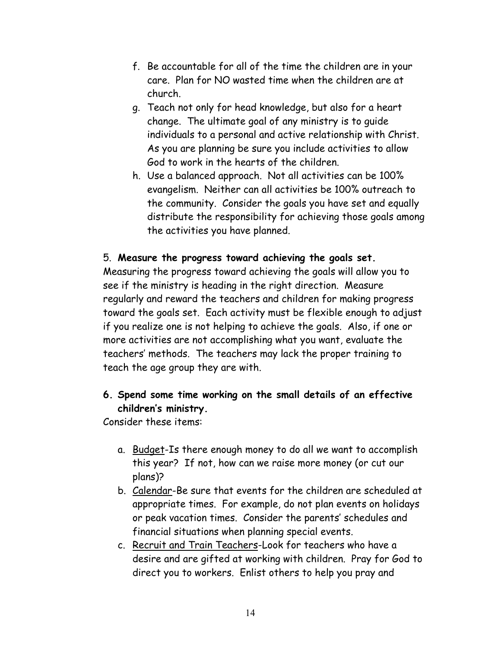- f. Be accountable for all of the time the children are in your care. Plan for NO wasted time when the children are at church.
- g. Teach not only for head knowledge, but also for a heart change. The ultimate goal of any ministry is to guide individuals to a personal and active relationship with Christ. As you are planning be sure you include activities to allow God to work in the hearts of the children.
- h. Use a balanced approach. Not all activities can be 100% evangelism. Neither can all activities be 100% outreach to the community. Consider the goals you have set and equally distribute the responsibility for achieving those goals among the activities you have planned.

#### 5. **Measure the progress toward achieving the goals set.**

Measuring the progress toward achieving the goals will allow you to see if the ministry is heading in the right direction. Measure regularly and reward the teachers and children for making progress toward the goals set. Each activity must be flexible enough to adjust if you realize one is not helping to achieve the goals. Also, if one or more activities are not accomplishing what you want, evaluate the teachers' methods. The teachers may lack the proper training to teach the age group they are with.

#### **6. Spend some time working on the small details of an effective children's ministry.**

Consider these items:

- a. Budget-Is there enough money to do all we want to accomplish this year? If not, how can we raise more money (or cut our plans)?
- b. Calendar-Be sure that events for the children are scheduled at appropriate times. For example, do not plan events on holidays or peak vacation times. Consider the parents' schedules and financial situations when planning special events.
- c. Recruit and Train Teachers-Look for teachers who have a desire and are gifted at working with children. Pray for God to direct you to workers. Enlist others to help you pray and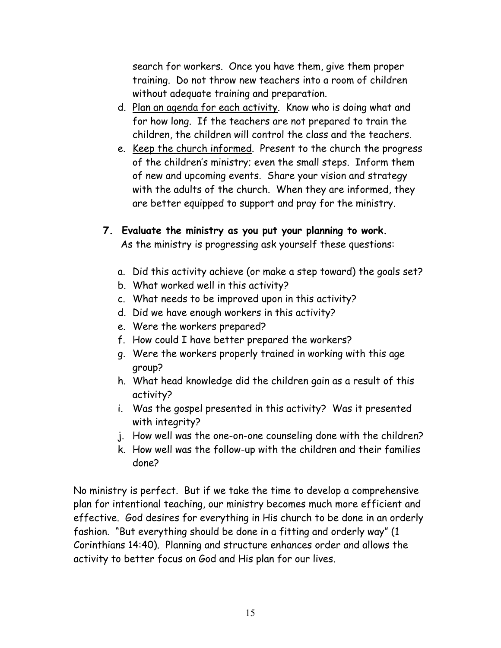search for workers. Once you have them, give them proper training. Do not throw new teachers into a room of children without adequate training and preparation.

- d. Plan an agenda for each activity. Know who is doing what and for how long. If the teachers are not prepared to train the children, the children will control the class and the teachers.
- e. Keep the church informed. Present to the church the progress of the children's ministry; even the small steps. Inform them of new and upcoming events. Share your vision and strategy with the adults of the church. When they are informed, they are better equipped to support and pray for the ministry.
- **7. Evaluate the ministry as you put your planning to work.**  As the ministry is progressing ask yourself these questions:
	- a. Did this activity achieve (or make a step toward) the goals set?
	- b. What worked well in this activity?
	- c. What needs to be improved upon in this activity?
	- d. Did we have enough workers in this activity?
	- e. Were the workers prepared?
	- f. How could I have better prepared the workers?
	- g. Were the workers properly trained in working with this age group?
	- h. What head knowledge did the children gain as a result of this activity?
	- i. Was the gospel presented in this activity? Was it presented with integrity?
	- j. How well was the one-on-one counseling done with the children?
	- k. How well was the follow-up with the children and their families done?

No ministry is perfect. But if we take the time to develop a comprehensive plan for intentional teaching, our ministry becomes much more efficient and effective. God desires for everything in His church to be done in an orderly fashion. "But everything should be done in a fitting and orderly way" (1 Corinthians 14:40). Planning and structure enhances order and allows the activity to better focus on God and His plan for our lives.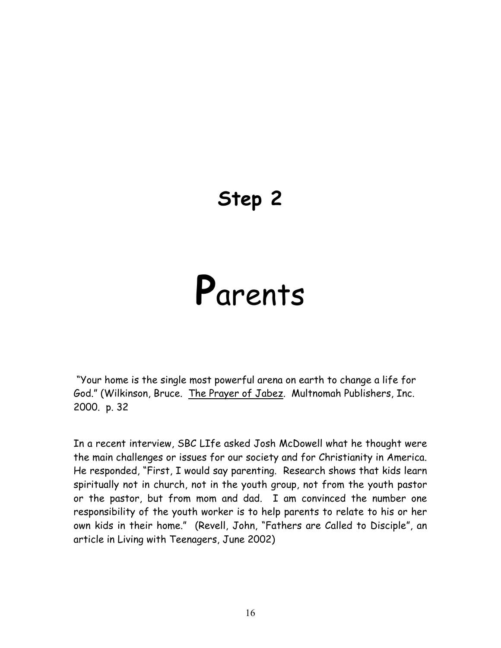# **Step 2**

# **P**arents

 "Your home is the single most powerful arena on earth to change a life for God." (Wilkinson, Bruce. The Prayer of Jabez. Multnomah Publishers, Inc. 2000. p. 32

In a recent interview, SBC LIfe asked Josh McDowell what he thought were the main challenges or issues for our society and for Christianity in America. He responded, "First, I would say parenting. Research shows that kids learn spiritually not in church, not in the youth group, not from the youth pastor or the pastor, but from mom and dad. I am convinced the number one responsibility of the youth worker is to help parents to relate to his or her own kids in their home." (Revell, John, "Fathers are Called to Disciple", an article in Living with Teenagers, June 2002)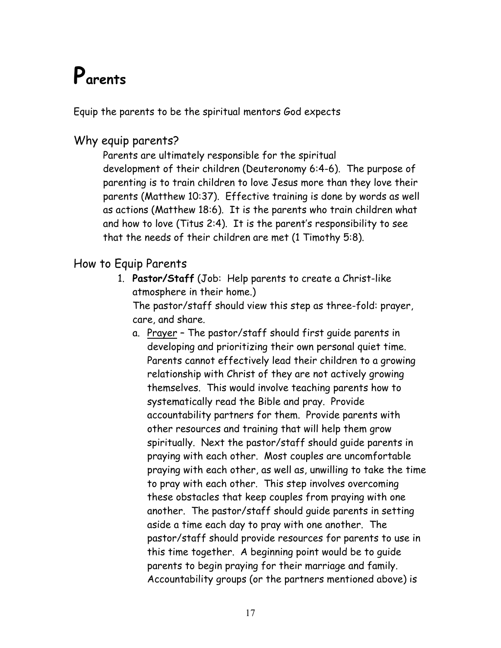# **Parents**

Equip the parents to be the spiritual mentors God expects

#### Why equip parents?

Parents are ultimately responsible for the spiritual development of their children (Deuteronomy 6:4-6). The purpose of parenting is to train children to love Jesus more than they love their parents (Matthew 10:37). Effective training is done by words as well as actions (Matthew 18:6). It is the parents who train children what and how to love (Titus 2:4). It is the parent's responsibility to see that the needs of their children are met (1 Timothy 5:8).

#### How to Equip Parents

1. **Pastor/Staff** (Job: Help parents to create a Christ-like atmosphere in their home.)

The pastor/staff should view this step as three-fold: prayer, care, and share.

a. Prayer – The pastor/staff should first guide parents in developing and prioritizing their own personal quiet time. Parents cannot effectively lead their children to a growing relationship with Christ of they are not actively growing themselves. This would involve teaching parents how to systematically read the Bible and pray. Provide accountability partners for them. Provide parents with other resources and training that will help them grow spiritually. Next the pastor/staff should guide parents in praying with each other. Most couples are uncomfortable praying with each other, as well as, unwilling to take the time to pray with each other. This step involves overcoming these obstacles that keep couples from praying with one another. The pastor/staff should guide parents in setting aside a time each day to pray with one another. The pastor/staff should provide resources for parents to use in this time together. A beginning point would be to guide parents to begin praying for their marriage and family. Accountability groups (or the partners mentioned above) is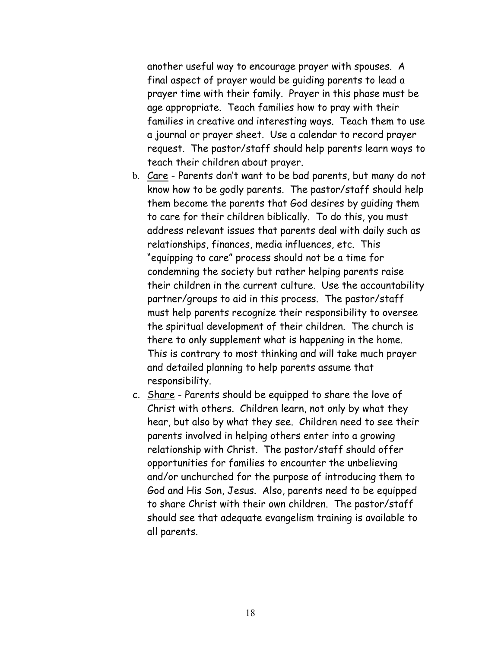another useful way to encourage prayer with spouses. A final aspect of prayer would be guiding parents to lead a prayer time with their family. Prayer in this phase must be age appropriate. Teach families how to pray with their families in creative and interesting ways. Teach them to use a journal or prayer sheet. Use a calendar to record prayer request. The pastor/staff should help parents learn ways to teach their children about prayer.

- b. Care Parents don't want to be bad parents, but many do not know how to be godly parents. The pastor/staff should help them become the parents that God desires by guiding them to care for their children biblically. To do this, you must address relevant issues that parents deal with daily such as relationships, finances, media influences, etc. This "equipping to care" process should not be a time for condemning the society but rather helping parents raise their children in the current culture. Use the accountability partner/groups to aid in this process. The pastor/staff must help parents recognize their responsibility to oversee the spiritual development of their children. The church is there to only supplement what is happening in the home. This is contrary to most thinking and will take much prayer and detailed planning to help parents assume that responsibility.
- c. Share Parents should be equipped to share the love of Christ with others. Children learn, not only by what they hear, but also by what they see. Children need to see their parents involved in helping others enter into a growing relationship with Christ. The pastor/staff should offer opportunities for families to encounter the unbelieving and/or unchurched for the purpose of introducing them to God and His Son, Jesus. Also, parents need to be equipped to share Christ with their own children. The pastor/staff should see that adequate evangelism training is available to all parents.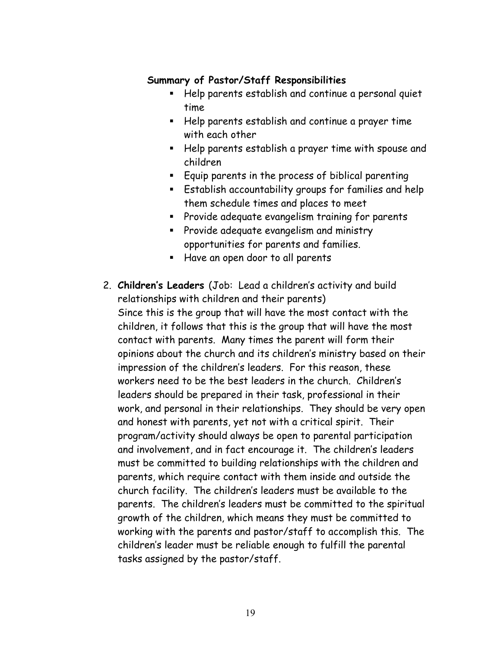#### **Summary of Pastor/Staff Responsibilities**

- Help parents establish and continue a personal quiet time
- Help parents establish and continue a prayer time with each other
- Help parents establish a prayer time with spouse and children
- Equip parents in the process of biblical parenting
- Establish accountability groups for families and help them schedule times and places to meet
- **Provide adequate evangelism training for parents**
- **Provide adequate evangelism and ministry** opportunities for parents and families.
- Have an open door to all parents
- 2. **Children's Leaders** (Job: Lead a children's activity and build relationships with children and their parents) Since this is the group that will have the most contact with the children, it follows that this is the group that will have the most contact with parents. Many times the parent will form their opinions about the church and its children's ministry based on their impression of the children's leaders. For this reason, these workers need to be the best leaders in the church. Children's leaders should be prepared in their task, professional in their work, and personal in their relationships. They should be very open and honest with parents, yet not with a critical spirit. Their program/activity should always be open to parental participation and involvement, and in fact encourage it. The children's leaders must be committed to building relationships with the children and parents, which require contact with them inside and outside the church facility. The children's leaders must be available to the parents. The children's leaders must be committed to the spiritual growth of the children, which means they must be committed to working with the parents and pastor/staff to accomplish this. The children's leader must be reliable enough to fulfill the parental tasks assigned by the pastor/staff.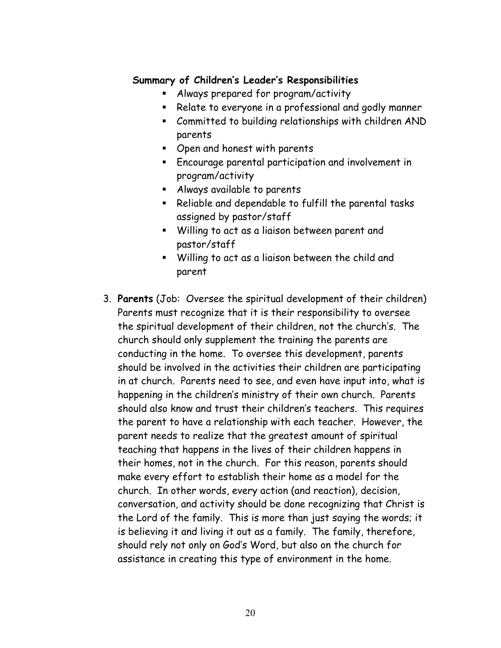#### **Summary of Children's Leader's Responsibilities**

- Always prepared for program/activity
- Relate to everyone in a professional and godly manner
- Committed to building relationships with children AND parents
- Open and honest with parents
- Encourage parental participation and involvement in program/activity
- Always available to parents
- Reliable and dependable to fulfill the parental tasks assigned by pastor/staff
- Willing to act as a liaison between parent and pastor/staff
- Willing to act as a liaison between the child and parent
- 3. **Parents** (Job: Oversee the spiritual development of their children) Parents must recognize that it is their responsibility to oversee the spiritual development of their children, not the church's. The church should only supplement the training the parents are conducting in the home. To oversee this development, parents should be involved in the activities their children are participating in at church. Parents need to see, and even have input into, what is happening in the children's ministry of their own church. Parents should also know and trust their children's teachers. This requires the parent to have a relationship with each teacher. However, the parent needs to realize that the greatest amount of spiritual teaching that happens in the lives of their children happens in their homes, not in the church. For this reason, parents should make every effort to establish their home as a model for the church. In other words, every action (and reaction), decision, conversation, and activity should be done recognizing that Christ is the Lord of the family. This is more than just saying the words; it is believing it and living it out as a family. The family, therefore, should rely not only on God's Word, but also on the church for assistance in creating this type of environment in the home.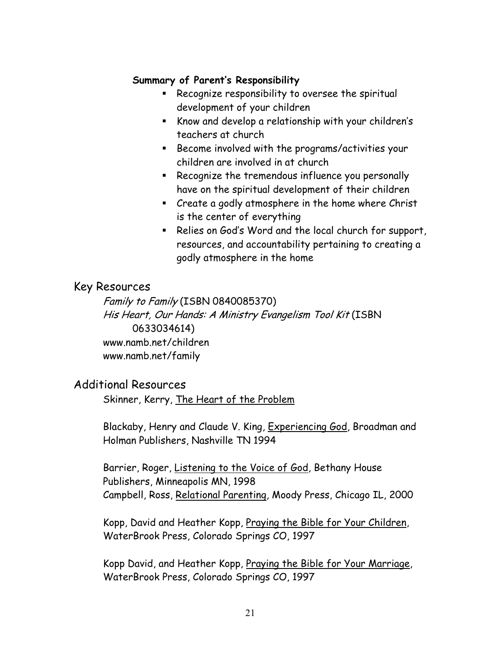#### **Summary of Parent's Responsibility**

- **Recognize responsibility to oversee the spiritual** development of your children
- Know and develop a relationship with your children's teachers at church
- **Become involved with the programs/activities your** children are involved in at church
- **Recognize the tremendous influence you personally** have on the spiritual development of their children
- **EXECT** Create a godly atmosphere in the home where Christ is the center of everything
- Relies on God's Word and the local church for support, resources, and accountability pertaining to creating a godly atmosphere in the home

#### Key Resources

Family to Family (ISBN 0840085370) His Heart, Our Hands: A Ministry Evangelism Tool Kit (ISBN 0633034614) www.namb.net/children www.namb.net/family

#### Additional Resources

Skinner, Kerry, The Heart of the Problem

Blackaby, Henry and Claude V. King, Experiencing God, Broadman and Holman Publishers, Nashville TN 1994

Barrier, Roger, Listening to the Voice of God, Bethany House Publishers, Minneapolis MN, 1998 Campbell, Ross, Relational Parenting, Moody Press, Chicago IL, 2000

Kopp, David and Heather Kopp, Praying the Bible for Your Children, WaterBrook Press, Colorado Springs CO, 1997

Kopp David, and Heather Kopp, Praying the Bible for Your Marriage, WaterBrook Press, Colorado Springs CO, 1997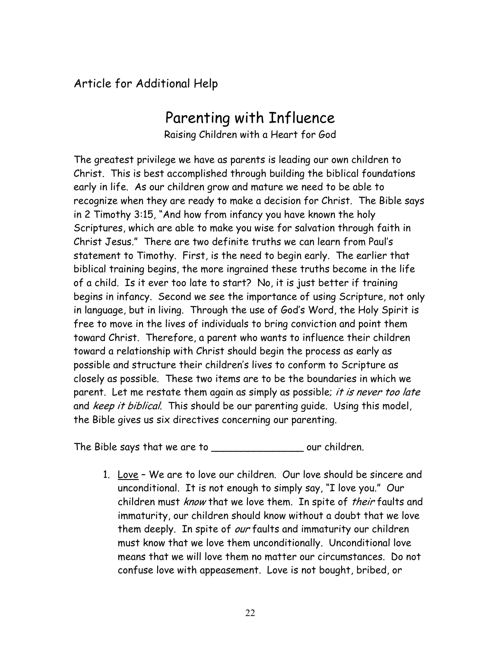Article for Additional Help

### Parenting with Influence

Raising Children with a Heart for God

The greatest privilege we have as parents is leading our own children to Christ. This is best accomplished through building the biblical foundations early in life. As our children grow and mature we need to be able to recognize when they are ready to make a decision for Christ. The Bible says in 2 Timothy 3:15, "And how from infancy you have known the holy Scriptures, which are able to make you wise for salvation through faith in Christ Jesus." There are two definite truths we can learn from Paul's statement to Timothy. First, is the need to begin early. The earlier that biblical training begins, the more ingrained these truths become in the life of a child. Is it ever too late to start? No, it is just better if training begins in infancy. Second we see the importance of using Scripture, not only in language, but in living. Through the use of God's Word, the Holy Spirit is free to move in the lives of individuals to bring conviction and point them toward Christ. Therefore, a parent who wants to influence their children toward a relationship with Christ should begin the process as early as possible and structure their children's lives to conform to Scripture as closely as possible. These two items are to be the boundaries in which we parent. Let me restate them again as simply as possible; it is never too late and keep it biblical. This should be our parenting quide. Using this model, the Bible gives us six directives concerning our parenting.

The Bible says that we are to \_\_\_\_\_\_\_\_\_\_\_\_\_\_\_\_\_\_\_\_\_ our children.

1. Love – We are to love our children. Our love should be sincere and unconditional. It is not enough to simply say, "I love you." Our children must know that we love them. In spite of their faults and immaturity, our children should know without a doubt that we love them deeply. In spite of our faults and immaturity our children must know that we love them unconditionally. Unconditional love means that we will love them no matter our circumstances. Do not confuse love with appeasement. Love is not bought, bribed, or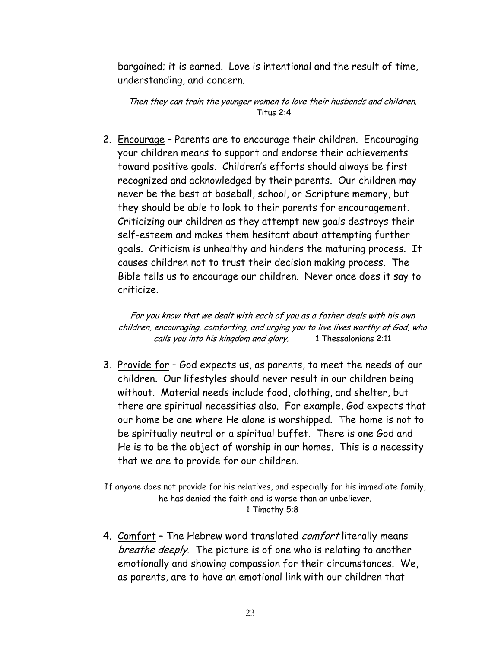bargained; it is earned. Love is intentional and the result of time, understanding, and concern.

Then they can train the younger women to love their husbands and children. Titus 2:4

2. Encourage – Parents are to encourage their children. Encouraging your children means to support and endorse their achievements toward positive goals. Children's efforts should always be first recognized and acknowledged by their parents. Our children may never be the best at baseball, school, or Scripture memory, but they should be able to look to their parents for encouragement. Criticizing our children as they attempt new goals destroys their self-esteem and makes them hesitant about attempting further goals. Criticism is unhealthy and hinders the maturing process. It causes children not to trust their decision making process. The Bible tells us to encourage our children. Never once does it say to criticize.

For you know that we dealt with each of you as a father deals with his own children, encouraging, comforting, and urging you to live lives worthy of God, who calls you into his kingdom and glory. 1 Thessalonians 2:11

3. Provide for – God expects us, as parents, to meet the needs of our children. Our lifestyles should never result in our children being without. Material needs include food, clothing, and shelter, but there are spiritual necessities also. For example, God expects that our home be one where He alone is worshipped. The home is not to be spiritually neutral or a spiritual buffet. There is one God and He is to be the object of worship in our homes. This is a necessity that we are to provide for our children.

If anyone does not provide for his relatives, and especially for his immediate family, he has denied the faith and is worse than an unbeliever. 1 Timothy 5:8

4. Comfort - The Hebrew word translated comfort literally means breathe deeply. The picture is of one who is relating to another emotionally and showing compassion for their circumstances. We, as parents, are to have an emotional link with our children that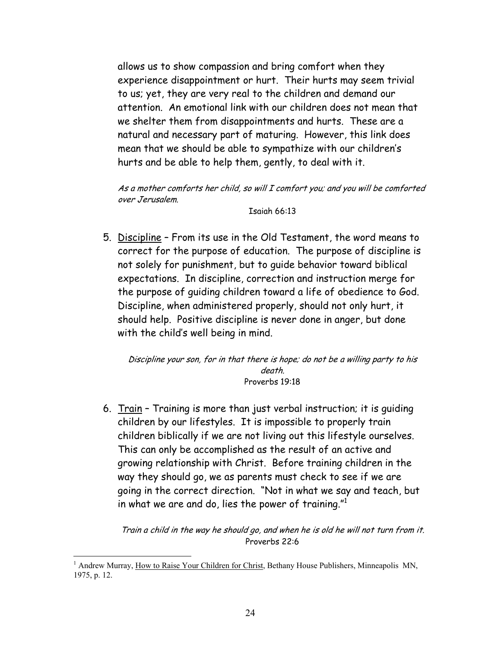allows us to show compassion and bring comfort when they experience disappointment or hurt. Their hurts may seem trivial to us; yet, they are very real to the children and demand our attention. An emotional link with our children does not mean that we shelter them from disappointments and hurts. These are a natural and necessary part of maturing. However, this link does mean that we should be able to sympathize with our children's hurts and be able to help them, gently, to deal with it.

As a mother comforts her child, so will I comfort you; and you will be comforted over Jerusalem.

#### Isaiah 66:13

5. Discipline – From its use in the Old Testament, the word means to correct for the purpose of education. The purpose of discipline is not solely for punishment, but to guide behavior toward biblical expectations. In discipline, correction and instruction merge for the purpose of guiding children toward a life of obedience to God. Discipline, when administered properly, should not only hurt, it should help. Positive discipline is never done in anger, but done with the child's well being in mind.

Discipline your son, for in that there is hope; do not be a willing party to his death. Proverbs 19:18

6. Train – Training is more than just verbal instruction; it is guiding children by our lifestyles. It is impossible to properly train children biblically if we are not living out this lifestyle ourselves. This can only be accomplished as the result of an active and growing relationship with Christ. Before training children in the way they should go, we as parents must check to see if we are going in the correct direction. "Not in what we say and teach, but in what we are and do, lies the power of training.["1](#page-23-0)

Train a child in the way he should go, and when he is old he will not turn from it. Proverbs 22:6

 $\overline{a}$ 

<span id="page-23-0"></span><sup>&</sup>lt;sup>1</sup> Andrew Murray, How to Raise Your Children for Christ, Bethany House Publishers, Minneapolis MN, 1975, p. 12.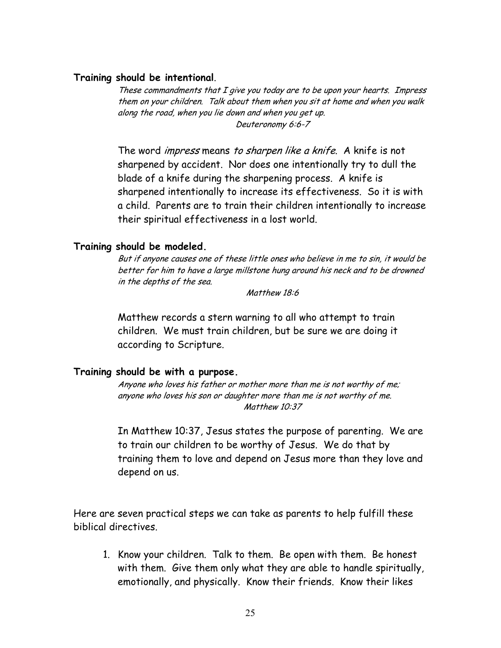#### **Training should be intentional**.

These commandments that I give you today are to be upon your hearts. Impress them on your children. Talk about them when you sit at home and when you walk along the road, when you lie down and when you get up. Deuteronomy 6:6-7

The word *impress* means to sharpen like a knife. A knife is not sharpened by accident. Nor does one intentionally try to dull the blade of a knife during the sharpening process. A knife is sharpened intentionally to increase its effectiveness. So it is with a child. Parents are to train their children intentionally to increase their spiritual effectiveness in a lost world.

#### **Training should be modeled.**

But if anyone causes one of these little ones who believe in me to sin, it would be better for him to have a large millstone hung around his neck and to be drowned in the depths of the sea.

Matthew 18:6

Matthew records a stern warning to all who attempt to train children. We must train children, but be sure we are doing it according to Scripture.

#### **Training should be with a purpose.**

Anyone who loves his father or mother more than me is not worthy of me; anyone who loves his son or daughter more than me is not worthy of me. Matthew 10:37

In Matthew 10:37, Jesus states the purpose of parenting. We are to train our children to be worthy of Jesus. We do that by training them to love and depend on Jesus more than they love and depend on us.

Here are seven practical steps we can take as parents to help fulfill these biblical directives.

1. Know your children. Talk to them. Be open with them. Be honest with them. Give them only what they are able to handle spiritually, emotionally, and physically. Know their friends. Know their likes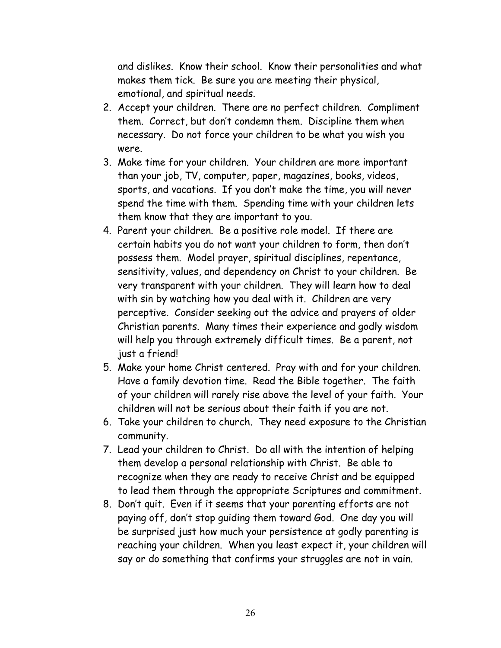and dislikes. Know their school. Know their personalities and what makes them tick. Be sure you are meeting their physical, emotional, and spiritual needs.

- 2. Accept your children. There are no perfect children. Compliment them. Correct, but don't condemn them. Discipline them when necessary. Do not force your children to be what you wish you were.
- 3. Make time for your children. Your children are more important than your job, TV, computer, paper, magazines, books, videos, sports, and vacations. If you don't make the time, you will never spend the time with them. Spending time with your children lets them know that they are important to you.
- 4. Parent your children. Be a positive role model. If there are certain habits you do not want your children to form, then don't possess them. Model prayer, spiritual disciplines, repentance, sensitivity, values, and dependency on Christ to your children. Be very transparent with your children. They will learn how to deal with sin by watching how you deal with it. Children are very perceptive. Consider seeking out the advice and prayers of older Christian parents. Many times their experience and godly wisdom will help you through extremely difficult times. Be a parent, not just a friend!
- 5. Make your home Christ centered. Pray with and for your children. Have a family devotion time. Read the Bible together. The faith of your children will rarely rise above the level of your faith. Your children will not be serious about their faith if you are not.
- 6. Take your children to church. They need exposure to the Christian community.
- 7. Lead your children to Christ. Do all with the intention of helping them develop a personal relationship with Christ. Be able to recognize when they are ready to receive Christ and be equipped to lead them through the appropriate Scriptures and commitment.
- 8. Don't quit. Even if it seems that your parenting efforts are not paying off, don't stop guiding them toward God. One day you will be surprised just how much your persistence at godly parenting is reaching your children. When you least expect it, your children will say or do something that confirms your struggles are not in vain.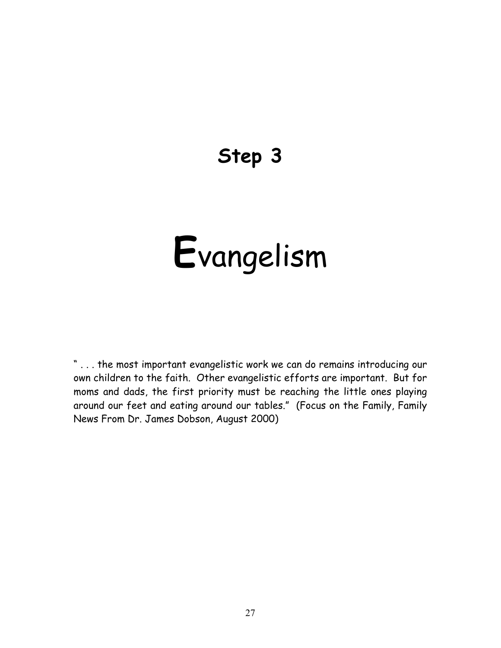## **Step 3**

# **E**vangelism

" . . . the most important evangelistic work we can do remains introducing our own children to the faith. Other evangelistic efforts are important. But for moms and dads, the first priority must be reaching the little ones playing around our feet and eating around our tables." (Focus on the Family, Family News From Dr. James Dobson, August 2000)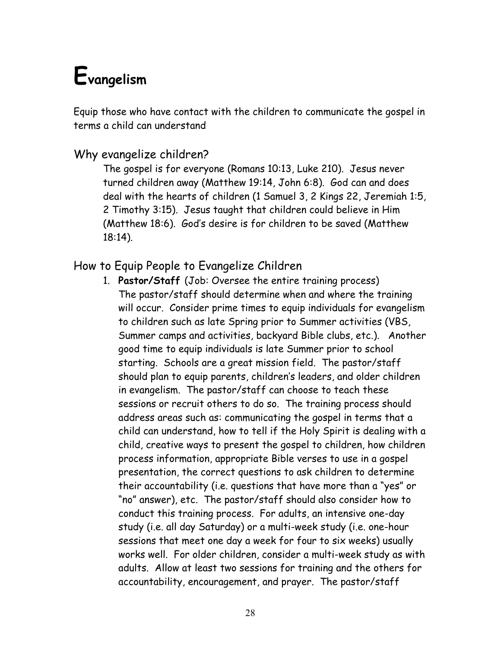# **Evangelism**

Equip those who have contact with the children to communicate the gospel in terms a child can understand

#### Why evangelize children?

The gospel is for everyone (Romans 10:13, Luke 210). Jesus never turned children away (Matthew 19:14, John 6:8). God can and does deal with the hearts of children (1 Samuel 3, 2 Kings 22, Jeremiah 1:5, 2 Timothy 3:15). Jesus taught that children could believe in Him (Matthew 18:6). God's desire is for children to be saved (Matthew 18:14).

#### How to Equip People to Evangelize Children

1. **Pastor/Staff** (Job: Oversee the entire training process) The pastor/staff should determine when and where the training will occur. Consider prime times to equip individuals for evangelism to children such as late Spring prior to Summer activities (VBS, Summer camps and activities, backyard Bible clubs, etc.). Another good time to equip individuals is late Summer prior to school starting. Schools are a great mission field. The pastor/staff should plan to equip parents, children's leaders, and older children in evangelism. The pastor/staff can choose to teach these sessions or recruit others to do so. The training process should address areas such as: communicating the gospel in terms that a child can understand, how to tell if the Holy Spirit is dealing with a child, creative ways to present the gospel to children, how children process information, appropriate Bible verses to use in a gospel presentation, the correct questions to ask children to determine their accountability (i.e. questions that have more than a "yes" or "no" answer), etc. The pastor/staff should also consider how to conduct this training process. For adults, an intensive one-day study (i.e. all day Saturday) or a multi-week study (i.e. one-hour sessions that meet one day a week for four to six weeks) usually works well. For older children, consider a multi-week study as with adults. Allow at least two sessions for training and the others for accountability, encouragement, and prayer. The pastor/staff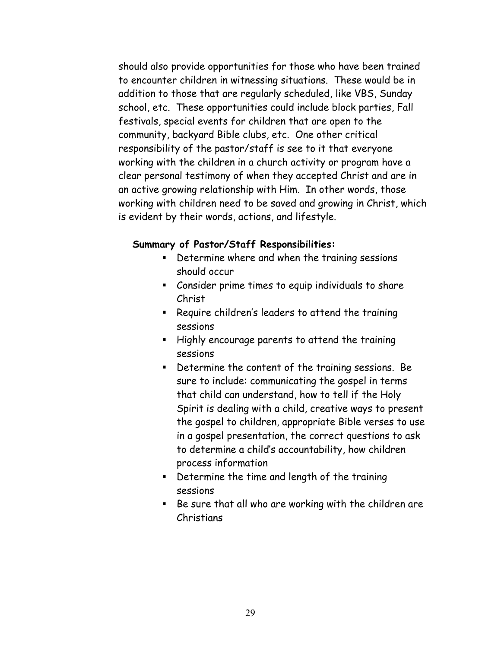should also provide opportunities for those who have been trained to encounter children in witnessing situations. These would be in addition to those that are regularly scheduled, like VBS, Sunday school, etc. These opportunities could include block parties, Fall festivals, special events for children that are open to the community, backyard Bible clubs, etc. One other critical responsibility of the pastor/staff is see to it that everyone working with the children in a church activity or program have a clear personal testimony of when they accepted Christ and are in an active growing relationship with Him. In other words, those working with children need to be saved and growing in Christ, which is evident by their words, actions, and lifestyle.

#### **Summary of Pastor/Staff Responsibilities:**

- **Determine where and when the training sessions** should occur
- Consider prime times to equip individuals to share Christ
- **EXEQUATE:** Require children's leaders to attend the training sessions
- **Highly encourage parents to attend the training** sessions
- Determine the content of the training sessions. Be sure to include: communicating the gospel in terms that child can understand, how to tell if the Holy Spirit is dealing with a child, creative ways to present the gospel to children, appropriate Bible verses to use in a gospel presentation, the correct questions to ask to determine a child's accountability, how children process information
- Determine the time and length of the training sessions
- Be sure that all who are working with the children are Christians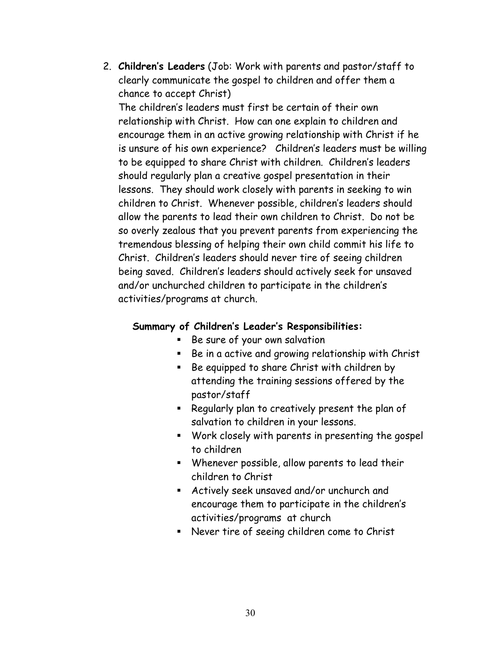2. **Children's Leaders** (Job: Work with parents and pastor/staff to clearly communicate the gospel to children and offer them a chance to accept Christ) The children's leaders must first be certain of their own relationship with Christ. How can one explain to children and encourage them in an active growing relationship with Christ if he is unsure of his own experience? Children's leaders must be willing to be equipped to share Christ with children. Children's leaders should regularly plan a creative gospel presentation in their lessons. They should work closely with parents in seeking to win children to Christ. Whenever possible, children's leaders should allow the parents to lead their own children to Christ. Do not be so overly zealous that you prevent parents from experiencing the tremendous blessing of helping their own child commit his life to Christ. Children's leaders should never tire of seeing children being saved. Children's leaders should actively seek for unsaved and/or unchurched children to participate in the children's activities/programs at church.

#### **Summary of Children's Leader's Responsibilities:**

- Be sure of your own salvation
- **Be in a active and growing relationship with Christ**
- Be equipped to share Christ with children by attending the training sessions offered by the pastor/staff
- **•** Regularly plan to creatively present the plan of salvation to children in your lessons.
- Work closely with parents in presenting the gospel to children
- Whenever possible, allow parents to lead their children to Christ
- Actively seek unsaved and/or unchurch and encourage them to participate in the children's activities/programs at church
- Never tire of seeing children come to Christ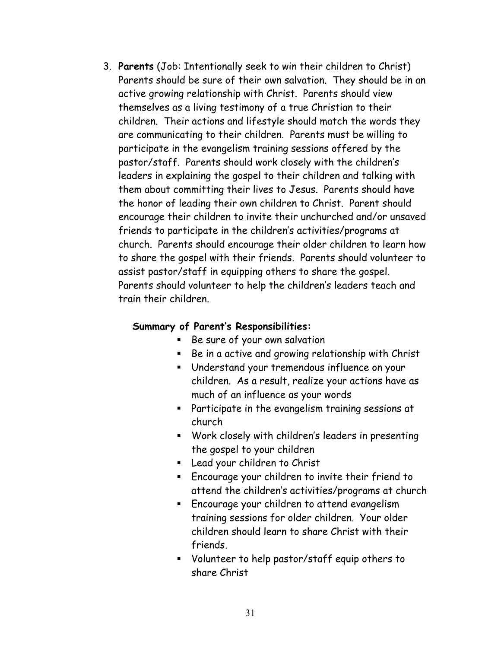3. **Parents** (Job: Intentionally seek to win their children to Christ) Parents should be sure of their own salvation. They should be in an active growing relationship with Christ. Parents should view themselves as a living testimony of a true Christian to their children. Their actions and lifestyle should match the words they are communicating to their children. Parents must be willing to participate in the evangelism training sessions offered by the pastor/staff. Parents should work closely with the children's leaders in explaining the gospel to their children and talking with them about committing their lives to Jesus. Parents should have the honor of leading their own children to Christ. Parent should encourage their children to invite their unchurched and/or unsaved friends to participate in the children's activities/programs at church. Parents should encourage their older children to learn how to share the gospel with their friends. Parents should volunteer to assist pastor/staff in equipping others to share the gospel. Parents should volunteer to help the children's leaders teach and train their children.

#### **Summary of Parent's Responsibilities:**

- Be sure of your own salvation
- **Be in a active and growing relationship with Christ**
- Understand your tremendous influence on your children. As a result, realize your actions have as much of an influence as your words
- Participate in the evangelism training sessions at church
- Work closely with children's leaders in presenting the gospel to your children
- Lead your children to Christ
- Encourage your children to invite their friend to attend the children's activities/programs at church
- **Encourage your children to attend evangelism** training sessions for older children. Your older children should learn to share Christ with their friends.
- Volunteer to help pastor/staff equip others to share Christ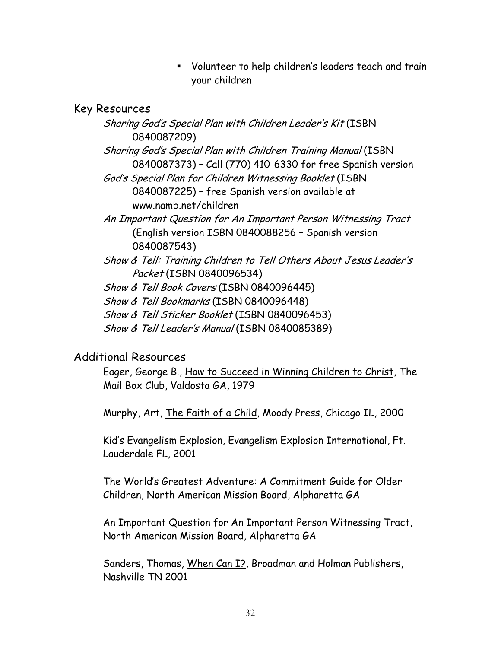Volunteer to help children's leaders teach and train your children

#### Key Resources

Sharing God's Special Plan with Children Leader's Kit (ISBN 0840087209) Sharing God's Special Plan with Children Training Manual (ISBN 0840087373) – Call (770) 410-6330 for free Spanish version God's Special Plan for Children Witnessing Booklet (ISBN 0840087225) – free Spanish version available at www.namb.net/children An Important Question for An Important Person Witnessing Tract (English version ISBN 0840088256 – Spanish version 0840087543) Show & Tell: Training Children to Tell Others About Jesus Leader's Packet (ISBN 0840096534) Show & Tell Book Covers (ISBN 0840096445) Show & Tell Bookmarks (ISBN 0840096448) Show & Tell Sticker Booklet (ISBN 0840096453) Show & Tell Leader's Manual (ISBN 0840085389)

#### Additional Resources

Eager, George B., How to Succeed in Winning Children to Christ, The Mail Box Club, Valdosta GA, 1979

Murphy, Art, The Faith of a Child, Moody Press, Chicago IL, 2000

Kid's Evangelism Explosion, Evangelism Explosion International, Ft. Lauderdale FL, 2001

The World's Greatest Adventure: A Commitment Guide for Older Children, North American Mission Board, Alpharetta GA

An Important Question for An Important Person Witnessing Tract, North American Mission Board, Alpharetta GA

Sanders, Thomas, When Can I?, Broadman and Holman Publishers, Nashville TN 2001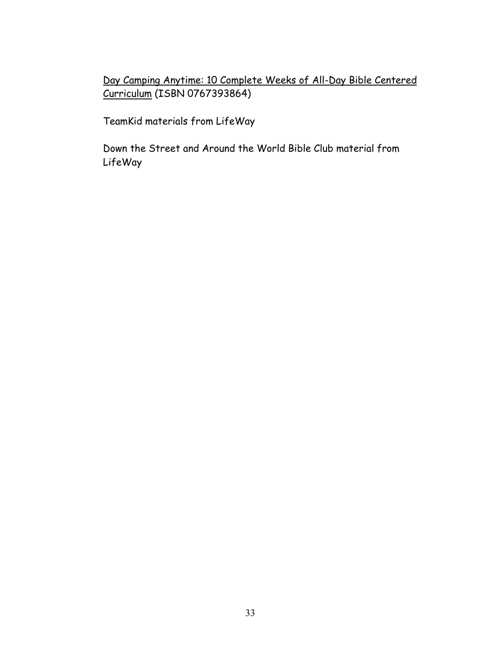Day Camping Anytime: 10 Complete Weeks of All-Day Bible Centered Curriculum (ISBN 0767393864)

TeamKid materials from LifeWay

Down the Street and Around the World Bible Club material from LifeWay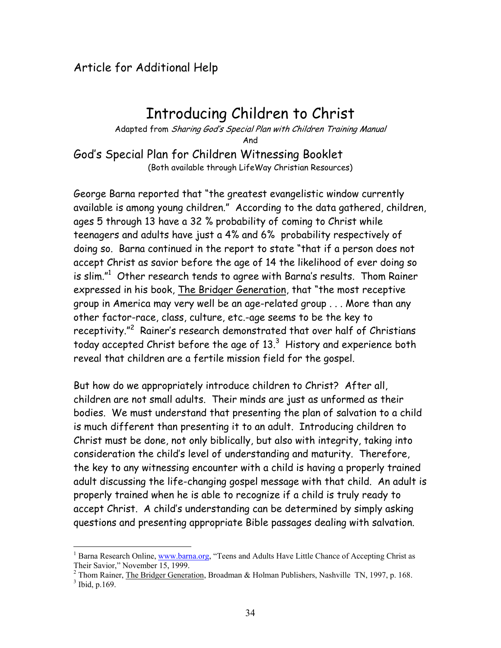#### Article for Additional Help

 $\overline{a}$ 

### Introducing Children to Christ

Adapted from Sharing God's Special Plan with Children Training Manual And God's Special Plan for Children Witnessing Booklet

(Both available through LifeWay Christian Resources)

George Barna reported that "the greatest evangelistic window currently available is among young children." According to the data gathered, children, ages 5 through 13 have a 32 % probability of coming to Christ while teenagers and adults have just a 4% and 6% probability respectively of doing so. Barna continued in the report to state "that if a person does not accept Christ as savior before the age of 14 the likelihood of ever doing so is slim." $1$  Other research tends to agree with Barna's results. Thom Rainer expressed in his book, The Bridger Generation, that "the most receptive group in America may very well be an age-related group . . . More than any other factor-race, class, culture, etc.-age seems to be the key to receptivity."<sup>[2](#page-33-1)</sup> Rainer's research demonstrated that over half of Christians today accepted Christ before the age of 13. $^3\,$  History and experience both reveal that children are a fertile mission field for the gospel.

But how do we appropriately introduce children to Christ? After all, children are not small adults. Their minds are just as unformed as their bodies. We must understand that presenting the plan of salvation to a child is much different than presenting it to an adult. Introducing children to Christ must be done, not only biblically, but also with integrity, taking into consideration the child's level of understanding and maturity. Therefore, the key to any witnessing encounter with a child is having a properly trained adult discussing the life-changing gospel message with that child. An adult is properly trained when he is able to recognize if a child is truly ready to accept Christ. A child's understanding can be determined by simply asking questions and presenting appropriate Bible passages dealing with salvation.

<span id="page-33-0"></span><sup>&</sup>lt;sup>1</sup> Barna Research Online, [www.barna.org,](http://www.barna.org/) "Teens and Adults Have Little Chance of Accepting Christ as Their Savior," November 15, 1999. 2

<span id="page-33-2"></span><span id="page-33-1"></span><sup>&</sup>lt;sup>2</sup> Thom Rainer, The Bridger Generation, Broadman & Holman Publishers, Nashville TN, 1997, p. 168.  $3$  Ibid, p.169.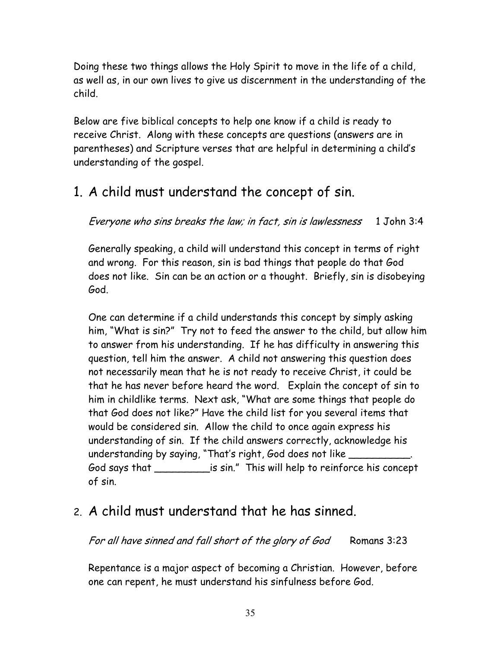Doing these two things allows the Holy Spirit to move in the life of a child, as well as, in our own lives to give us discernment in the understanding of the child.

Below are five biblical concepts to help one know if a child is ready to receive Christ. Along with these concepts are questions (answers are in parentheses) and Scripture verses that are helpful in determining a child's understanding of the gospel.

### 1. A child must understand the concept of sin.

Everyone who sins breaks the law; in fact, sin is lawlessness 1 John 3:4

Generally speaking, a child will understand this concept in terms of right and wrong. For this reason, sin is bad things that people do that God does not like. Sin can be an action or a thought. Briefly, sin is disobeying God.

One can determine if a child understands this concept by simply asking him, "What is sin?" Try not to feed the answer to the child, but allow him to answer from his understanding. If he has difficulty in answering this question, tell him the answer. A child not answering this question does not necessarily mean that he is not ready to receive Christ, it could be that he has never before heard the word. Explain the concept of sin to him in childlike terms. Next ask, "What are some things that people do that God does not like?" Have the child list for you several items that would be considered sin. Allow the child to once again express his understanding of sin. If the child answers correctly, acknowledge his understanding by saying, "That's right, God does not like \_\_\_\_\_\_\_\_\_\_. God says that \_\_\_\_\_\_\_\_\_is sin." This will help to reinforce his concept of sin.

### 2. A child must understand that he has sinned.

For all have sinned and fall short of the glory of God Romans 3:23

Repentance is a major aspect of becoming a Christian. However, before one can repent, he must understand his sinfulness before God.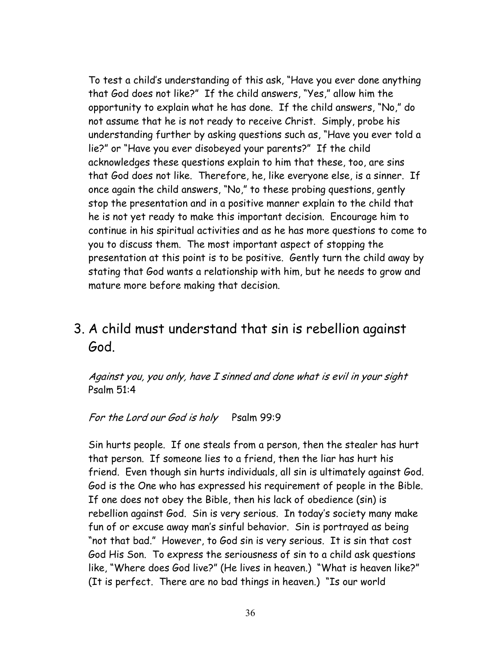To test a child's understanding of this ask, "Have you ever done anything that God does not like?" If the child answers, "Yes," allow him the opportunity to explain what he has done. If the child answers, "No," do not assume that he is not ready to receive Christ. Simply, probe his understanding further by asking questions such as, "Have you ever told a lie?" or "Have you ever disobeyed your parents?" If the child acknowledges these questions explain to him that these, too, are sins that God does not like. Therefore, he, like everyone else, is a sinner. If once again the child answers, "No," to these probing questions, gently stop the presentation and in a positive manner explain to the child that he is not yet ready to make this important decision. Encourage him to continue in his spiritual activities and as he has more questions to come to you to discuss them. The most important aspect of stopping the presentation at this point is to be positive. Gently turn the child away by stating that God wants a relationship with him, but he needs to grow and mature more before making that decision.

### 3. A child must understand that sin is rebellion against God.

Against you, you only, have I sinned and done what is evil in your sight Psalm 51:4

For the Lord our God is holy Psalm 99:9

Sin hurts people. If one steals from a person, then the stealer has hurt that person. If someone lies to a friend, then the liar has hurt his friend. Even though sin hurts individuals, all sin is ultimately against God. God is the One who has expressed his requirement of people in the Bible. If one does not obey the Bible, then his lack of obedience (sin) is rebellion against God. Sin is very serious. In today's society many make fun of or excuse away man's sinful behavior. Sin is portrayed as being "not that bad." However, to God sin is very serious. It is sin that cost God His Son. To express the seriousness of sin to a child ask questions like, "Where does God live?" (He lives in heaven.) "What is heaven like?" (It is perfect. There are no bad things in heaven.) "Is our world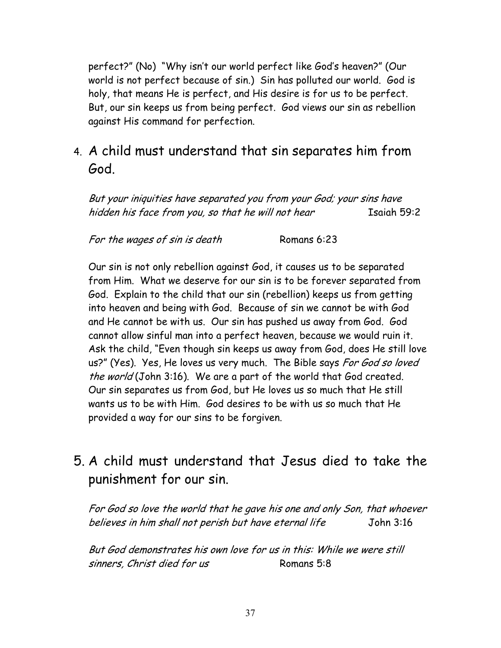perfect?" (No) "Why isn't our world perfect like God's heaven?" (Our world is not perfect because of sin.) Sin has polluted our world. God is holy, that means He is perfect, and His desire is for us to be perfect. But, our sin keeps us from being perfect. God views our sin as rebellion against His command for perfection.

### 4. A child must understand that sin separates him from God.

But your iniquities have separated you from your God; your sins have hidden his face from you, so that he will not hear Isaiah 59:2

For the wages of sin is death Romans 6:23

Our sin is not only rebellion against God, it causes us to be separated from Him. What we deserve for our sin is to be forever separated from God. Explain to the child that our sin (rebellion) keeps us from getting into heaven and being with God. Because of sin we cannot be with God and He cannot be with us. Our sin has pushed us away from God. God cannot allow sinful man into a perfect heaven, because we would ruin it. Ask the child, "Even though sin keeps us away from God, does He still love us?" (Yes). Yes, He loves us very much. The Bible says For God so loved the world (John 3:16). We are a part of the world that God created. Our sin separates us from God, but He loves us so much that He still wants us to be with Him. God desires to be with us so much that He provided a way for our sins to be forgiven.

### 5. A child must understand that Jesus died to take the punishment for our sin.

For God so love the world that he gave his one and only Son, that whoever believes in him shall not perish but have eternal life John 3:16

But God demonstrates his own love for us in this: While we were still sinners, Christ died for us Romans 5:8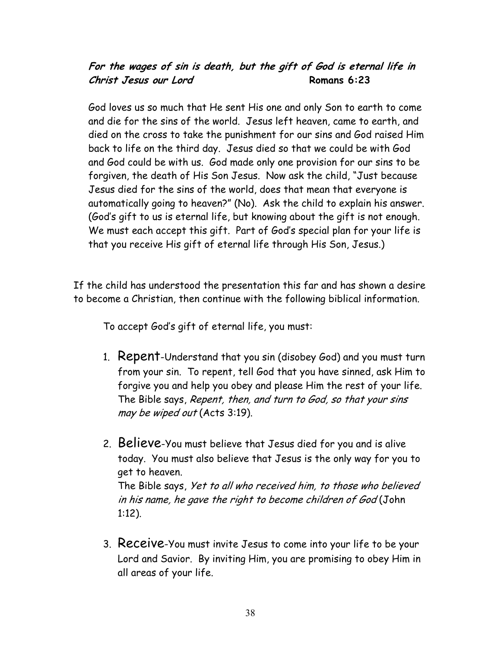#### **For the wages of sin is death, but the gift of God is eternal life in Christ Jesus our Lord Romans 6:23**

God loves us so much that He sent His one and only Son to earth to come and die for the sins of the world. Jesus left heaven, came to earth, and died on the cross to take the punishment for our sins and God raised Him back to life on the third day. Jesus died so that we could be with God and God could be with us. God made only one provision for our sins to be forgiven, the death of His Son Jesus. Now ask the child, "Just because Jesus died for the sins of the world, does that mean that everyone is automatically going to heaven?" (No). Ask the child to explain his answer. (God's gift to us is eternal life, but knowing about the gift is not enough. We must each accept this gift. Part of God's special plan for your life is that you receive His gift of eternal life through His Son, Jesus.)

If the child has understood the presentation this far and has shown a desire to become a Christian, then continue with the following biblical information.

To accept God's gift of eternal life, you must:

- 1. Repent-Understand that you sin (disobey God) and you must turn from your sin. To repent, tell God that you have sinned, ask Him to forgive you and help you obey and please Him the rest of your life. The Bible says, Repent, then, and turn to God, so that your sins may be wiped out (Acts 3:19).
- 2. Believe-You must believe that Jesus died for you and is alive today. You must also believe that Jesus is the only way for you to get to heaven. The Bible says, Yet to all who received him, to those who believed in his name, he gave the right to become children of God (John 1:12).
- 3. Receive-You must invite Jesus to come into your life to be your Lord and Savior. By inviting Him, you are promising to obey Him in all areas of your life.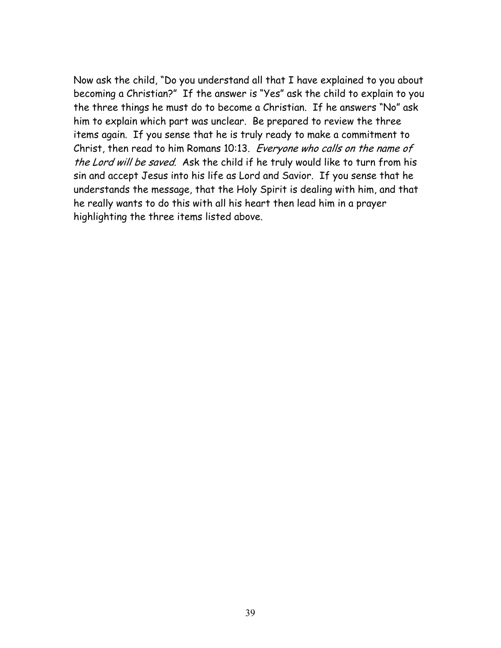Now ask the child, "Do you understand all that I have explained to you about becoming a Christian?" If the answer is "Yes" ask the child to explain to you the three things he must do to become a Christian. If he answers "No" ask him to explain which part was unclear. Be prepared to review the three items again. If you sense that he is truly ready to make a commitment to Christ, then read to him Romans 10:13. Everyone who calls on the name of the Lord will be saved. Ask the child if he truly would like to turn from his sin and accept Jesus into his life as Lord and Savior. If you sense that he understands the message, that the Holy Spirit is dealing with him, and that he really wants to do this with all his heart then lead him in a prayer highlighting the three items listed above.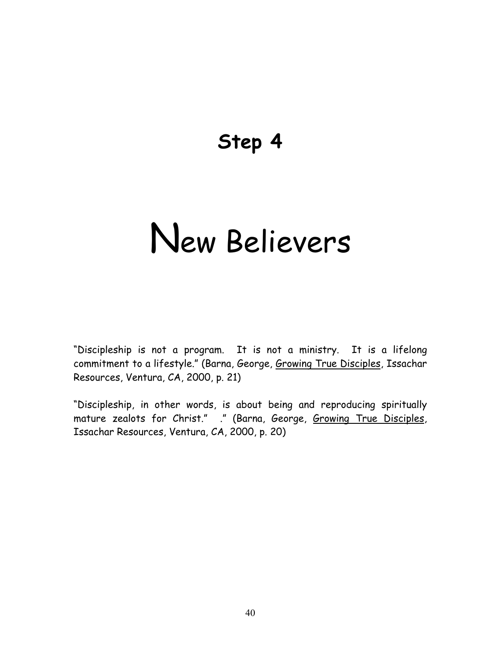## **Step 4**

# New Believers

"Discipleship is not a program. It is not a ministry. It is a lifelong commitment to a lifestyle." (Barna, George, Growing True Disciples, Issachar Resources, Ventura, CA, 2000, p. 21)

"Discipleship, in other words, is about being and reproducing spiritually mature zealots for Christ." ." (Barna, George, Growing True Disciples, Issachar Resources, Ventura, CA, 2000, p. 20)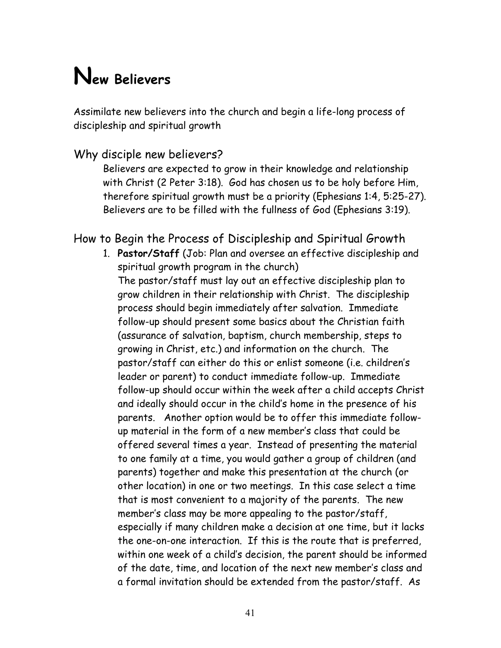# **New Believers**

Assimilate new believers into the church and begin a life-long process of discipleship and spiritual growth

#### Why disciple new believers?

Believers are expected to grow in their knowledge and relationship with Christ (2 Peter 3:18). God has chosen us to be holy before Him, therefore spiritual growth must be a priority (Ephesians 1:4, 5:25-27). Believers are to be filled with the fullness of God (Ephesians 3:19).

#### How to Begin the Process of Discipleship and Spiritual Growth

1. **Pastor/Staff** (Job: Plan and oversee an effective discipleship and spiritual growth program in the church) The pastor/staff must lay out an effective discipleship plan to grow children in their relationship with Christ. The discipleship process should begin immediately after salvation. Immediate follow-up should present some basics about the Christian faith (assurance of salvation, baptism, church membership, steps to growing in Christ, etc.) and information on the church. The pastor/staff can either do this or enlist someone (i.e. children's leader or parent) to conduct immediate follow-up. Immediate follow-up should occur within the week after a child accepts Christ and ideally should occur in the child's home in the presence of his parents. Another option would be to offer this immediate followup material in the form of a new member's class that could be offered several times a year. Instead of presenting the material to one family at a time, you would gather a group of children (and parents) together and make this presentation at the church (or other location) in one or two meetings. In this case select a time that is most convenient to a majority of the parents. The new member's class may be more appealing to the pastor/staff, especially if many children make a decision at one time, but it lacks the one-on-one interaction. If this is the route that is preferred, within one week of a child's decision, the parent should be informed of the date, time, and location of the next new member's class and a formal invitation should be extended from the pastor/staff. As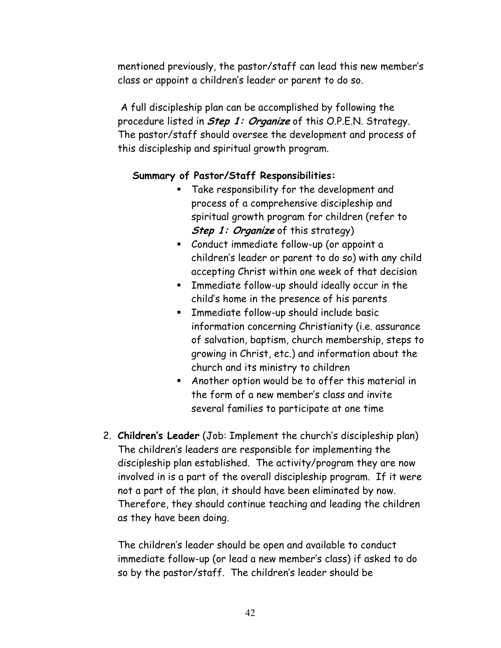mentioned previously, the pastor/staff can lead this new member's class or appoint a children's leader or parent to do so.

 A full discipleship plan can be accomplished by following the procedure listed in **Step 1: Organize** of this O.P.E.N. Strategy. The pastor/staff should oversee the development and process of this discipleship and spiritual growth program.

#### **Summary of Pastor/Staff Responsibilities:**

- Take responsibility for the development and process of a comprehensive discipleship and spiritual growth program for children (refer to **Step 1: Organize** of this strategy)
- Conduct immediate follow-up (or appoint a children's leader or parent to do so) with any child accepting Christ within one week of that decision
- Immediate follow-up should ideally occur in the child's home in the presence of his parents
- Immediate follow-up should include basic information concerning Christianity (i.e. assurance of salvation, baptism, church membership, steps to growing in Christ, etc.) and information about the church and its ministry to children
- Another option would be to offer this material in the form of a new member's class and invite several families to participate at one time
- 2. **Children's Leader** (Job: Implement the church's discipleship plan) The children's leaders are responsible for implementing the discipleship plan established. The activity/program they are now involved in is a part of the overall discipleship program. If it were not a part of the plan, it should have been eliminated by now. Therefore, they should continue teaching and leading the children as they have been doing.

The children's leader should be open and available to conduct immediate follow-up (or lead a new member's class) if asked to do so by the pastor/staff. The children's leader should be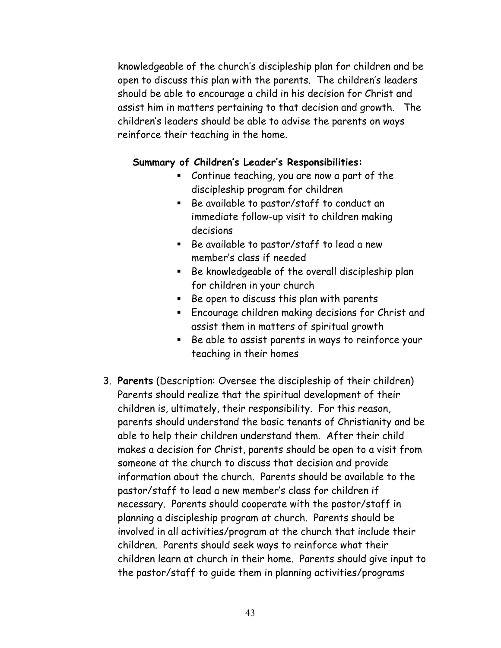knowledgeable of the church's discipleship plan for children and be open to discuss this plan with the parents. The children's leaders should be able to encourage a child in his decision for Christ and assist him in matters pertaining to that decision and growth. The children's leaders should be able to advise the parents on ways reinforce their teaching in the home.

#### **Summary of Children's Leader's Responsibilities:**

- Continue teaching, you are now a part of the discipleship program for children
- Be available to pastor/staff to conduct an immediate follow-up visit to children making decisions
- Be available to pastor/staff to lead a new member's class if needed
- **Be knowledgeable of the overall discipleship plan** for children in your church
- Be open to discuss this plan with parents
- **Encourage children making decisions for Christ and** assist them in matters of spiritual growth
- $\blacksquare$  Be able to assist parents in ways to reinforce your teaching in their homes
- 3. **Parents** (Description: Oversee the discipleship of their children) Parents should realize that the spiritual development of their children is, ultimately, their responsibility. For this reason, parents should understand the basic tenants of Christianity and be able to help their children understand them. After their child makes a decision for Christ, parents should be open to a visit from someone at the church to discuss that decision and provide information about the church. Parents should be available to the pastor/staff to lead a new member's class for children if necessary. Parents should cooperate with the pastor/staff in planning a discipleship program at church. Parents should be involved in all activities/program at the church that include their children. Parents should seek ways to reinforce what their children learn at church in their home. Parents should give input to the pastor/staff to guide them in planning activities/programs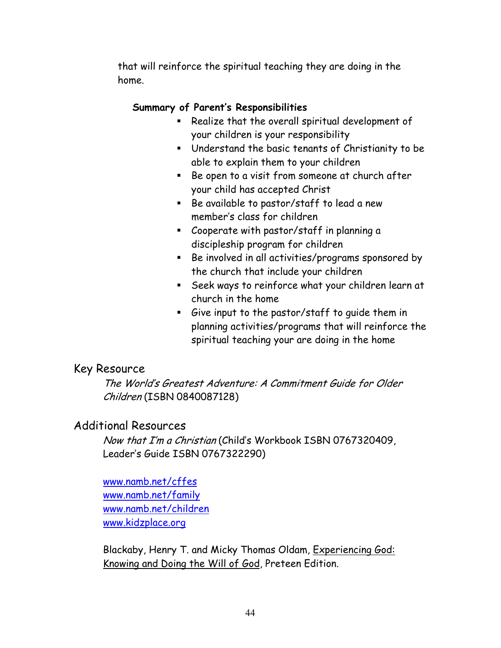that will reinforce the spiritual teaching they are doing in the home.

#### **Summary of Parent's Responsibilities**

- **Realize that the overall spiritual development of** your children is your responsibility
- Understand the basic tenants of Christianity to be able to explain them to your children
- Be open to a visit from someone at church after your child has accepted Christ
- Be available to pastor/staff to lead a new member's class for children
- Cooperate with pastor/staff in planning a discipleship program for children
- Be involved in all activities/programs sponsored by the church that include your children
- Seek ways to reinforce what your children learn at church in the home
- Give input to the pastor/staff to guide them in planning activities/programs that will reinforce the spiritual teaching your are doing in the home

#### Key Resource

The World's Greatest Adventure: A Commitment Guide for Older Children (ISBN 0840087128)

#### Additional Resources

Now that I'm a Christian (Child's Workbook ISBN 0767320409, Leader's Guide ISBN 0767322290)

[www.namb.net/cffes](http://www.namb.net/cffes) [www.namb.net/family](http://www.namb.net/family) [www.namb.net/children](http://www.namb.net/children) [www.kidzplace.org](http://www.kidzplace.org/)

Blackaby, Henry T. and Micky Thomas Oldam, Experiencing God: Knowing and Doing the Will of God, Preteen Edition.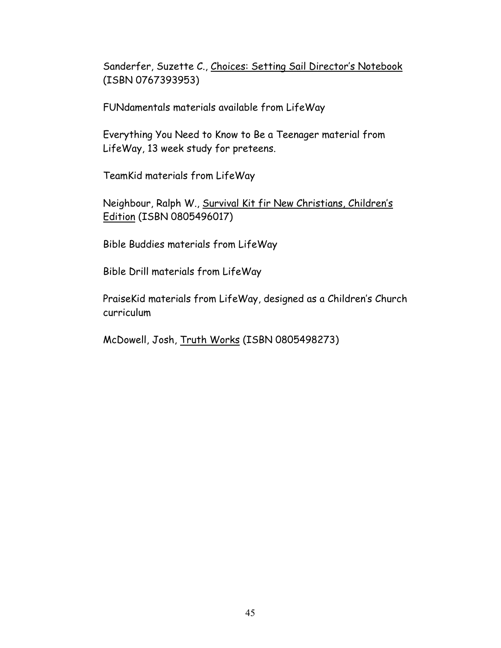Sanderfer, Suzette C., Choices: Setting Sail Director's Notebook (ISBN 0767393953)

FUNdamentals materials available from LifeWay

Everything You Need to Know to Be a Teenager material from LifeWay, 13 week study for preteens.

TeamKid materials from LifeWay

Neighbour, Ralph W., Survival Kit fir New Christians, Children's Edition (ISBN 0805496017)

Bible Buddies materials from LifeWay

Bible Drill materials from LifeWay

PraiseKid materials from LifeWay, designed as a Children's Church curriculum

McDowell, Josh, Truth Works (ISBN 0805498273)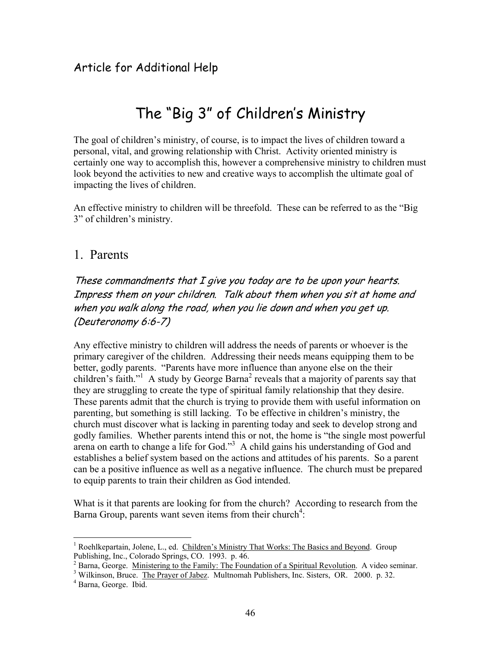### The "Big 3" of Children's Ministry

The goal of children's ministry, of course, is to impact the lives of children toward a personal, vital, and growing relationship with Christ. Activity oriented ministry is certainly one way to accomplish this, however a comprehensive ministry to children must look beyond the activities to new and creative ways to accomplish the ultimate goal of impacting the lives of children.

An effective ministry to children will be threefold. These can be referred to as the "Big 3" of children's ministry.

#### 1. Parents

These commandments that I give you today are to be upon your hearts. Impress them on your children. Talk about them when you sit at home and when you walk along the road, when you lie down and when you get up. (Deuteronomy 6:6-7)

Any effective ministry to children will address the needs of parents or whoever is the primary caregiver of the children. Addressing their needs means equipping them to be better, godly parents. "Parents have more influence than anyone else on the their children's faith."<sup>1</sup> A study by George Barna<sup>[2](#page-45-1)</sup> reveals that a majority of parents say that they are struggling to create the type of spiritual family relationship that they desire. These parents admit that the church is trying to provide them with useful information on parenting, but something is still lacking. To be effective in children's ministry, the church must discover what is lacking in parenting today and seek to develop strong and godly families. Whether parents intend this or not, the home is "the single most powerful arena on earth to change a life for God."<sup>[3](#page-45-2)</sup> A child gains his understanding of God and establishes a belief system based on the actions and attitudes of his parents. So a parent can be a positive influence as well as a negative influence. The church must be prepared to equip parents to train their children as God intended.

What is it that parents are looking for from the church? According to research from the Barna Group, parents want seven items from their church<sup>4</sup>:

 $\overline{a}$ 

<span id="page-45-0"></span><sup>&</sup>lt;sup>1</sup> Roehlkepartain, Jolene, L., ed. Children's Ministry That Works: The Basics and Beyond. Group Publishing, Inc., Colorado Springs, CO. 1993. p. 46. 2

<span id="page-45-1"></span><sup>&</sup>lt;sup>2</sup> Barna, George. Ministering to the Family: The Foundation of a Spiritual Revolution. A video seminar.

<span id="page-45-2"></span><sup>&</sup>lt;sup>3</sup> Wilkinson, Bruce. The Prayer of Jabez. Multnomah Publishers, Inc. Sisters, OR. 2000. p. 32.

<span id="page-45-3"></span><sup>&</sup>lt;sup>4</sup> Barna, George. Ibid.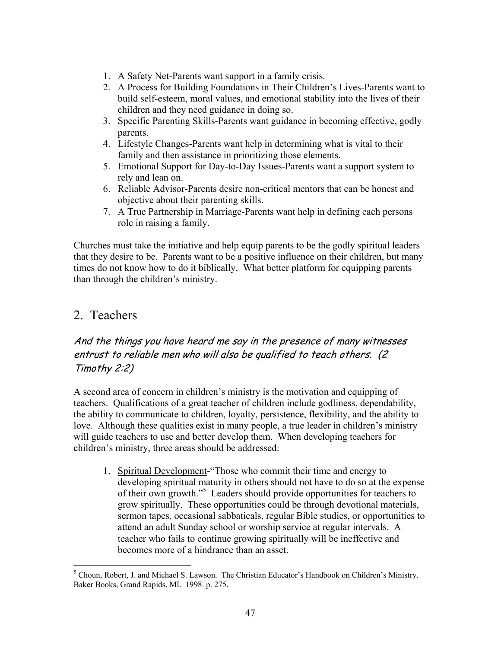- 1. A Safety Net-Parents want support in a family crisis.
- 2. A Process for Building Foundations in Their Children's Lives-Parents want to build self-esteem, moral values, and emotional stability into the lives of their children and they need guidance in doing so.
- 3. Specific Parenting Skills-Parents want guidance in becoming effective, godly parents.
- 4. Lifestyle Changes-Parents want help in determining what is vital to their family and then assistance in prioritizing those elements.
- 5. Emotional Support for Day-to-Day Issues-Parents want a support system to rely and lean on.
- 6. Reliable Advisor-Parents desire non-critical mentors that can be honest and objective about their parenting skills.
- 7. A True Partnership in Marriage-Parents want help in defining each persons role in raising a family.

Churches must take the initiative and help equip parents to be the godly spiritual leaders that they desire to be. Parents want to be a positive influence on their children, but many times do not know how to do it biblically. What better platform for equipping parents than through the children's ministry.

#### 2. Teachers

#### And the things you have heard me say in the presence of many witnesses entrust to reliable men who will also be qualified to teach others. (2 Timothy 2:2)

A second area of concern in children's ministry is the motivation and equipping of teachers. Qualifications of a great teacher of children include godliness, dependability, the ability to communicate to children, loyalty, persistence, flexibility, and the ability to love. Although these qualities exist in many people, a true leader in children's ministry will guide teachers to use and better develop them. When developing teachers for children's ministry, three areas should be addressed:

1. Spiritual Development-"Those who commit their time and energy to developing spiritual maturity in others should not have to do so at the expense of their own growth.["5](#page-46-0) Leaders should provide opportunities for teachers to grow spiritually. These opportunities could be through devotional materials, sermon tapes, occasional sabbaticals, regular Bible studies, or opportunities to attend an adult Sunday school or worship service at regular intervals. A teacher who fails to continue growing spiritually will be ineffective and becomes more of a hindrance than an asset.

<span id="page-46-0"></span> $\overline{a}$ <sup>5</sup> Choun, Robert, J. and Michael S. Lawson. The Christian Educator's Handbook on Children's Ministry. Baker Books, Grand Rapids, MI. 1998. p. 275.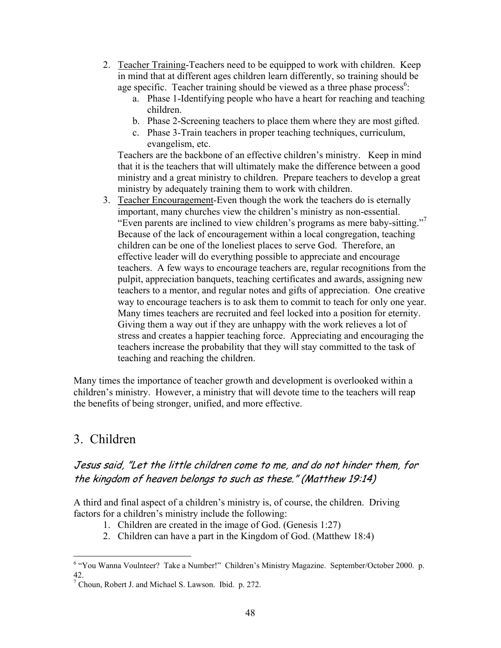- 2. Teacher Training-Teachers need to be equipped to work with children. Keep in mind that at different ages children learn differently, so training should be age specific. Teacher training should be viewed as a three phase process<sup>[6](#page-47-0)</sup>:
	- a. Phase 1-Identifying people who have a heart for reaching and teaching children.
	- b. Phase 2-Screening teachers to place them where they are most gifted.
	- c. Phase 3-Train teachers in proper teaching techniques, curriculum, evangelism, etc.

Teachers are the backbone of an effective children's ministry. Keep in mind that it is the teachers that will ultimately make the difference between a good ministry and a great ministry to children. Prepare teachers to develop a great ministry by adequately training them to work with children.

3. Teacher Encouragement-Even though the work the teachers do is eternally important, many churches view the children's ministry as non-essential. "Even parents are inclined to view children's programs as mere baby-sitting."[7](#page-47-1) Because of the lack of encouragement within a local congregation, teaching children can be one of the loneliest places to serve God. Therefore, an effective leader will do everything possible to appreciate and encourage teachers. A few ways to encourage teachers are, regular recognitions from the pulpit, appreciation banquets, teaching certificates and awards, assigning new teachers to a mentor, and regular notes and gifts of appreciation. One creative way to encourage teachers is to ask them to commit to teach for only one year. Many times teachers are recruited and feel locked into a position for eternity. Giving them a way out if they are unhappy with the work relieves a lot of stress and creates a happier teaching force. Appreciating and encouraging the teachers increase the probability that they will stay committed to the task of teaching and reaching the children.

Many times the importance of teacher growth and development is overlooked within a children's ministry. However, a ministry that will devote time to the teachers will reap the benefits of being stronger, unified, and more effective.

### 3. Children

#### Jesus said, "Let the little children come to me, and do not hinder them, for the kingdom of heaven belongs to such as these." (Matthew 19:14)

A third and final aspect of a children's ministry is, of course, the children. Driving factors for a children's ministry include the following:

- 1. Children are created in the image of God. (Genesis 1:27)
- 2. Children can have a part in the Kingdom of God. (Matthew 18:4)

<span id="page-47-0"></span> $\overline{a}$ <sup>6</sup> "You Wanna Voulnteer? Take a Number!" Children's Ministry Magazine. September/October 2000. p. 42. 7

<span id="page-47-1"></span> $^7$  Choun, Robert J. and Michael S. Lawson. Ibid. p. 272.